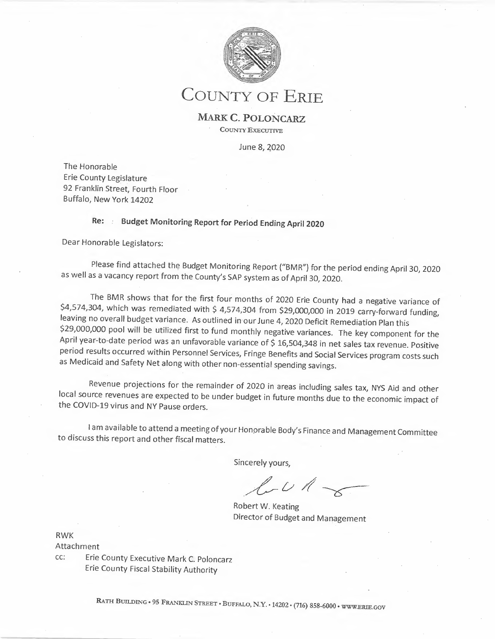

# COUNTY OF ERIE

**MARK C. POLONCARZ**  COUNTY EXECUTIVE

June 8, 2020

The Honorable Erie County Legislature 92 Franklin Street, Fourth floor Buffalo, New York 14202

## **Re: • Budget Monitoring Report for Period Ending April 2020**

Dear Honorable Legislators:

Please find attached the Budget Monitoring Report ("BMR") for the period ending April 30, 2020 as well as a vacancy report from the County's SAP system as of April 30, 2020.

The BMR shows that for the first four months of 2020 Erie County had a negative variance of \$4,574,304, which was remediated with \$ 4,574,304 from \$29,000,000 in 2019 carry-forward funding, leaving no overall budget variance. As outlined in our June 4, 2020 Deficit Remediation Plan this \$29,000,000 pool will be utilized first to fund monthly negative variances. The key component for the April year-to-date period was an unfavorable variance of \$ 16,504,348 in net sales tax revenue. Positive period results occurred within Personnel Services, Fringe Benefits and Social Services program costs such as Medicaid and Safety Net along with other non-essential spending savings.

Revenue projections for the remainder of 2020 in areas including sales tax, NYS Aid and other local source revenues are expected to be under budget in future months due to the economic impact of the COVID-19 virus and NY Pause orders.

I am available to attend a meeting of your Honorable Body's Finance and Management Committee to discuss this report and other fiscal matters. **under the Body's Finance and Management Compared Management Compared Views,<br>
vert W. Keating<br>
actor of Budget and Management** 

Sincerely yours,

Robert W. Keating Director of Budget and Management

RWK

Attachment

cc: Erie County Executive Mark C. Poloncarz Erie County Fiscal Stability Authority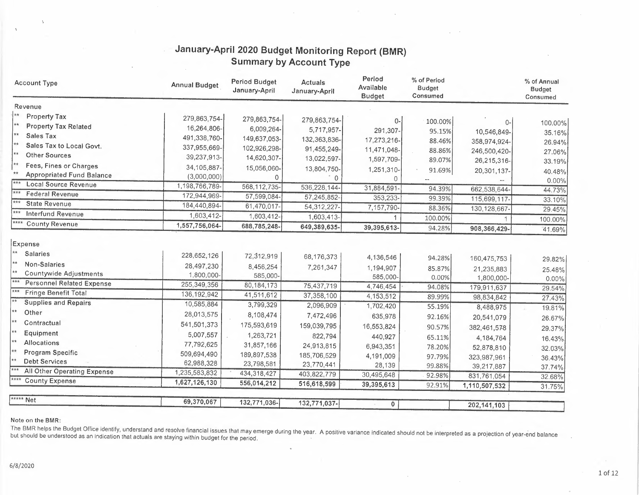| <b>Account Type</b>                                   | <b>Annual Budget</b> | <b>Period Budget</b><br>January-April | Actuals<br>January-April | Period<br>Available<br><b>Budget</b> | % of Period<br><b>Budget</b><br>Consumed |                | % of Annual<br><b>Budget</b><br>Consumed |
|-------------------------------------------------------|----------------------|---------------------------------------|--------------------------|--------------------------------------|------------------------------------------|----------------|------------------------------------------|
| Revenue                                               |                      |                                       |                          |                                      |                                          |                |                                          |
| <b>Property Tax</b>                                   | 279,863,754-         | 279,863,754-                          | 279,863,754-             | 0-                                   | 100.00%                                  |                |                                          |
| <b>Property Tax Related</b>                           | 16,264,806-          | 6,009,264-                            | 5,717,957-               | 291,307-                             | 95.15%                                   | 0-             | 100.00%                                  |
| **<br>Sales Tax                                       | 491,338,760-         | 149,637,053-                          | 132,363,836-             | 17,273,216-                          | 88.46%                                   | 10,546,849-    | 35.16%                                   |
| ∤**<br>Sales Tax to Local Govt.                       | 337,955,669-         | 102,926,298-                          | 91,455,249-              | 11,471,048-                          | 88.86%                                   | 358,974,924-   | 26.94%                                   |
| **<br><b>Other Sources</b>                            | 39,237,913-          | 14,620,307-                           | 13,022,597-              | 1,597,709-                           | 89.07%                                   | 246,500,420-   | 27.06%                                   |
| ∤**<br>Fees, Fines or Charges                         | 34, 105, 887-        | 15,056,060-                           | 13,804,750-              | 1,251,310-                           |                                          | 26,215,316-    | 33.19%                                   |
| $**$<br><b>Appropriated Fund Balance</b>              | (3,000,000)          | $\Omega$                              | $\Omega$                 | 0                                    | 91.69%                                   | 20,301,137-    | 40.48%                                   |
| ***<br><b>Local Source Revenue</b>                    | 1,198,766,789-       | 568, 112, 735-                        | 536,228,144-             | 31,884,591                           | 94.39%                                   | 662,538,644-   | 0.00%                                    |
| $***$<br><b>Federal Revenue</b>                       | 172,944,969-         | 57,599,084-                           | 57,245,852-              | 353,233-                             | 99.39%                                   | 115,699,117-   | 44.73%                                   |
| $***$<br><b>State Revenue</b>                         | 184,440,894-         | 61,470,017-                           | 54,312,227               | 7,157,790-                           | 88.36%                                   | 130, 128, 667- | 33.10%                                   |
| $***$<br><b>Interfund Revenue</b>                     | 1,603,412-           | 1,603,412-                            | 1,603,413-               |                                      | 100.00%                                  | 1              | 29.45%                                   |
| **** County Revenue                                   | 1,557,756,064-       | 688,785,248-                          | 649,389,635-             | 39,395,613-                          | 94.28%                                   | 908,366,429-   | 100.00%<br>41.69%                        |
| Expense<br>$\star\star$<br><b>Salaries</b>            | 228,652,126          | 72,312,919                            | 68,176,373               | 4,136,546                            | 94.28%                                   | 160,475,753    | 29.82%                                   |
| $**$<br>Non-Salaries<br> **<br>Countywide Adjustments | 28,497,230           | 8,456,254                             | 7,261,347                | 1,194,907                            | 85.87%                                   | 21,235,883     | 25.48%                                   |
| <b>Personnel Related Expense</b>                      | 1,800,000-           | 585,000-                              |                          | 585,000-                             | 0.00%                                    | 1,800,000-     | 0.00%                                    |
| ***<br>Fringe Benefit Total                           | 255,349,356          | 80, 184, 173                          | 75,437,719               | 4,746,454                            | 94.08%                                   | 179,911,637    | 29.54%                                   |
| $**$<br><b>Supplies and Repairs</b>                   | 136, 192, 942        | 41,511,612                            | 37,358,100               | 4,153,512                            | 89.99%                                   | 98,834,842     | 27.43%                                   |
| $**$<br>Other                                         | 10,585,884           | 3,799,329                             | 2,096,909                | 1,702,420                            | 55.19%                                   | 8,488,975      | 19.81%                                   |
| **                                                    | 28,013,575           | 8,108,474                             | 7,472,496                | 635,978                              | 92.16%                                   | 20,541,079     | 26.67%                                   |
| Contractual<br>$**$                                   | 541,501,373          | 175,593,619                           | 159,039,795              | 16,553,824                           | 90.57%                                   | 382,461,578    | 29.37%                                   |
| Equipment<br>$**$                                     | 5,007,557            | 1,263,721                             | 822,794                  | 440,927                              | 65.11%                                   | 4,184,764      | 16.43%                                   |
| Allocations<br>$**$                                   | 77,792,625           | 31,857,166                            | 24,913,815               | 6,943,351                            | 78.20%                                   | 52,878,810     | 32.03%                                   |
| Program Specific<br>kk<br><b>Debt Services</b>        | 509,694,490          | 189,897,538                           | 185,706,529              | 4,191,009                            | 97.79%                                   | 323,987,961    | 36.43%                                   |
| All Other Operating Expense                           | 62,988,328           | 23,798,581                            | 23,770,441               | 28,139                               | 99.88%                                   | 39,217,887     | 37.74%                                   |
| ****<br><b>County Expense</b>                         | 1,235,583,832        | 434,318,427                           | 403,822,779              | 30,495,648                           | 92.98%                                   | 831,761,054    | 32.68%                                   |
|                                                       | 1,627,126,130        | 556,014,212                           | 516,618,599              | 39,395,613                           | 92.91%                                   | 1,110,507,532  | 31.75%                                   |
| ***** Net                                             |                      |                                       |                          |                                      |                                          |                |                                          |
|                                                       | 69,370,067           | 132,771,036-                          | 132,771,037-             | $\mathbf{0}$                         |                                          | 202, 141, 103  |                                          |

## January-April 2020 Budget Monitoring Report (BMR) **Summary by Account Type**

#### Note on the BMR:

The BMR helps the Budget Office identify, understand and resolve financial issues that may emerge during the year. A positive variance indicated should not be interpreted as a projection of year-end balance<br>but should be u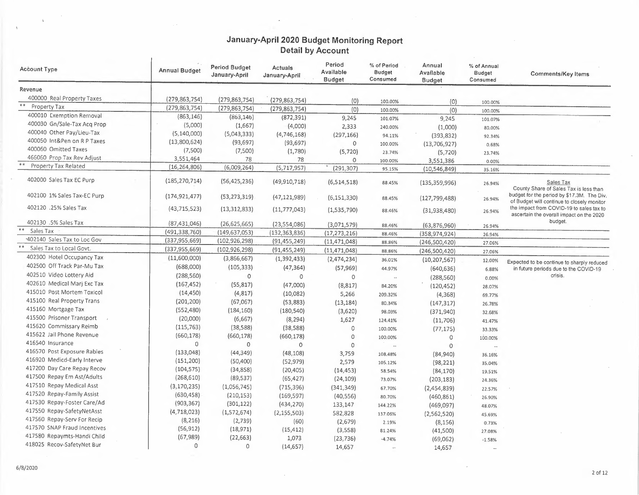| <b>Account Type</b>                   | <b>Annual Budget</b> | <b>Period Budget</b><br>January-April | Actuals<br>January-April | Period<br>Available<br><b>Budget</b> | % of Period<br><b>Budget</b><br>Consumed | Annual<br>Available<br><b>Budget</b> | % of Annual<br>Budget<br>Consumed | <b>Comments/Key Items</b>                                                                |
|---------------------------------------|----------------------|---------------------------------------|--------------------------|--------------------------------------|------------------------------------------|--------------------------------------|-----------------------------------|------------------------------------------------------------------------------------------|
| Revenue                               |                      |                                       |                          |                                      |                                          |                                      |                                   |                                                                                          |
| 400000 Real Property Taxes            | (279, 863, 754)      | (279, 863, 754)                       | (279, 863, 754)          | (0)                                  | 100.00%                                  | $\{0\}$                              |                                   |                                                                                          |
| $\ast$ $\ast$<br>Property Tax         | (279, 863, 754)      | (279, 863, 754)                       | (279, 863, 754)          | (0)                                  | 100.00%                                  | (0)                                  | 100.00%<br>100.00%                |                                                                                          |
| 400010 Exemption Removal              | (863, 146)           | (863, 146)                            | (872, 391)               | 9,245                                | 101.07%                                  | 9,245                                |                                   |                                                                                          |
| 400030 Gn/Sale-Tax Acq Prop           | (5,000)              | (1,667)                               | (4,000)                  | 2,333                                | 240.00%                                  |                                      | 101.07%                           |                                                                                          |
| 400040 Other Pay/Lieu-Tax             | (5, 140, 000)        | (5,043,333)                           | (4,746,168)              | (297, 166)                           | 94.11%                                   | (1,000)                              | 80.00%                            |                                                                                          |
| 400050 Int&Pen on R P Taxes           | (13,800,624)         | (93, 697)                             | (93, 697)                | $\circ$                              | 100.00%                                  | (393, 832)                           | 92.34%                            |                                                                                          |
| 400060 Omitted Taxes                  | (7,500)              | (7,500)                               | (1,780)                  | (5, 720)                             | 23.74%                                   | (13,706,927)                         | 0.68%                             |                                                                                          |
| 466060 Prop Tax Rev Adjust            | 3,551,464            | 78                                    | 78                       | $\circ$                              | 100.00%                                  | (5,720)                              | 23.74%                            |                                                                                          |
| $\ast$ $\ast$<br>Property Tax Related | (16, 264, 806)       | (6,009,264)                           | (5,717,957)              | (291, 307)                           | 95.15%                                   | 3,551,386<br>(10, 546, 849)          | 0.00%<br>35.16%                   |                                                                                          |
|                                       |                      |                                       |                          |                                      |                                          |                                      |                                   |                                                                                          |
| 402000 Sales Tax EC Purp              | (185, 270, 714)      | (56, 425, 236)                        | (49, 910, 718)           | (6, 514, 518)                        | 88.45%                                   | (135, 359, 996)                      | 26.94%                            | Sales Tax<br>County Share of Sales Tax is less than                                      |
| 402100 1% Sales Tax-EC Purp           | (174, 921, 477)      | (53, 273, 319)                        | (47, 121, 989)           | (6, 151, 330)                        | 88.45%                                   | (127, 799, 488)                      | 26.94%                            | budget for the period by \$17.3M. The Div.<br>of Budget will continue to closely monitor |
| 402120 .25% Sales Tax                 | (43, 715, 523)       | (13, 312, 833)                        | (11, 777, 043)           | (1,535,790)                          | 88.46%                                   | (31, 938, 480)                       | 26.94%                            | the impact from COVID-19 to sales tax to<br>ascertain the overall impact on the 2020     |
| 402130 .5% Sales Tax                  | (87, 431, 046)       | (26, 625, 665)                        | (23,554,086)             | (3,071,579)                          | 88.46%                                   | (63,876,960)                         | 26.94%                            | budget.                                                                                  |
| $* *$<br>Sales Tax                    | (491, 338, 760)      | (149, 637, 053)                       | (132, 363, 836)          | (17, 273, 216)                       | 88.46%                                   | (358, 974, 924)                      | 26.94%                            |                                                                                          |
| 402140 Sales Tax to Loc Gov           | (337, 955, 669)      | (102, 926, 298)                       | (91, 455, 249)           | (11, 471, 048)                       | 88.86%                                   | (246,500,420)                        | 27.06%                            |                                                                                          |
| Sales Tax to Local Govt.              | (337, 955, 669)      | (102, 926, 298)                       | (91, 455, 249)           | (11, 471, 048)                       | 88.86%                                   | (246,500,420)                        | 27.06%                            |                                                                                          |
| 402300 Hotel Occupancy Tax            | (11,600,000)         | (3,866,667)                           | (1, 392, 433)            | (2,474,234)                          | 36.01%                                   | (10, 207, 567)                       | 12.00%                            | Expected to be continue to sharply reduced                                               |
| 402500 Off Track Par-Mu Tax           | (688,000)            | (105, 333)                            | (47, 364)                | (57, 969)                            | 44.97%                                   | (640, 636)                           | 6.88%                             | in future periods due to the COVID-19                                                    |
| 402510 Video Lottery Aid              | (288, 560)           | $\circ$                               | $\circ$                  | $\circ$                              | $\sim$                                   | (288, 560)                           | 0.00%                             | crisis.                                                                                  |
| 402610 Medical Marj Exc Tax           | (167, 452)           | (55, 817)                             | (47,000)                 | (8, 817)                             | 84.20%                                   | (120, 452)                           | 28.07%                            |                                                                                          |
| 415010 Post Mortem Toxicol            | (14, 450)            | (4,817)                               | (10,082)                 | 5,266                                | 209.32%                                  | (4,368)                              | 69.77%                            |                                                                                          |
| 415100 Real Property Trans            | (201, 200)           | (67,067)                              | (53,883)                 | (13, 184)                            | 80.34%                                   | (147, 317)                           | 26.78%                            |                                                                                          |
| 415160 Mortgage Tax                   | (552, 480)           | (184, 160)                            | (180, 540)               | (3,620)                              | 98.03%                                   | (371, 940)                           | 32.68%                            |                                                                                          |
| 415500 Prisoner Transport             | (20,000)             | (6,667)                               | (8, 294)                 | 1,627                                | 124.41%                                  | (11,706)                             | 41.47%                            |                                                                                          |
| 415620 Commissary Reimb               | (115, 763)           | (38, 588)                             | (38, 588)                | $\circ$                              | 100.00%                                  | (77, 175)                            | 33.33%                            |                                                                                          |
| 415622 Jail Phone Revenue             | (660, 178)           | (660, 178)                            | (660, 178)               | $\circ$                              | 100.00%                                  | $\circ$                              | 100.00%                           |                                                                                          |
| 416540 Insurance                      | $\circ$              | 0                                     | 0                        | $\Omega$                             | $\sim$                                   | $\Omega$                             |                                   |                                                                                          |
| 416570 Post Exposure Rabies           | (133,048)            | (44, 349)                             | (48, 108)                | 3,759                                | 108.48%                                  | (84,940)                             | 36.16%                            |                                                                                          |
| 416920 Medicd-Early Interve           | (151, 200)           | (50, 400)                             | (52, 979)                | 2,579                                | 105.12%                                  | (98, 221)                            | 35.04%                            |                                                                                          |
| 417200 Day Care Repay Recov           | (104, 575)           | (34, 858)                             | (20, 405)                | (14, 453)                            | 58.54%                                   | (84, 170)                            | 19.51%                            |                                                                                          |
| 417500 Repay Em Ast/Adults            | (268, 610)           | (89, 537)                             | (65, 427)                | (24, 109)                            | 73.07%                                   | (203, 183)                           | 24.36%                            |                                                                                          |
| 417510 Repay Medical Asst             | (3, 170, 235)        | (1,056,745)                           | (715, 396)               | (341, 349)                           | 67.70%                                   | (2,454,839)                          |                                   |                                                                                          |
| 417520 Repay-Family Assist            | (630, 458)           | (210, 153)                            | (169, 597)               | (40, 556)                            |                                          |                                      | 22.57%                            |                                                                                          |
| 417530 Repay-Foster Care/Ad           | (903, 367)           | (301, 122)                            | (434, 270)               | 133,147                              | 80.70%                                   | (460, 861)                           | 26.90%                            |                                                                                          |
| 417550 Repay-SafetyNetAsst            | (4, 718, 023)        | (1,572,674)                           |                          |                                      | 144.22%                                  | (469,097)                            | 48.07%                            |                                                                                          |
| 417560 Repay-Serv For Recip           | (8, 216)             | (2,739)                               | (2, 155, 503)<br>(60)    | 582,828                              | 137.06%                                  | (2,562,520)                          | 45.69%                            |                                                                                          |
| 417570 SNAP Fraud Incentives          | (56, 912)            | (18, 971)                             |                          | (2,679)                              | 2.19%                                    | (8, 156)                             | 0.73%                             |                                                                                          |
| 417580 Repaymts-Handi Child           | (67,989)             | (22, 663)                             | (15, 412)<br>1,073       | (3,558)                              | 81.24%                                   | (41,500)                             | 27.08%                            |                                                                                          |
| 418025 Recov-SafetyNet Bur            | $\mathbf 0$          | 0                                     | (14, 657)                | (23, 736)<br>14,657                  | $-4.74%$<br>$\ddot{\phantom{1}}$         | (69,062)<br>14,657                   | $-1.58%$<br>$\ddot{\phantom{a}}$  |                                                                                          |

 $\Lambda$ 

 $\lambda$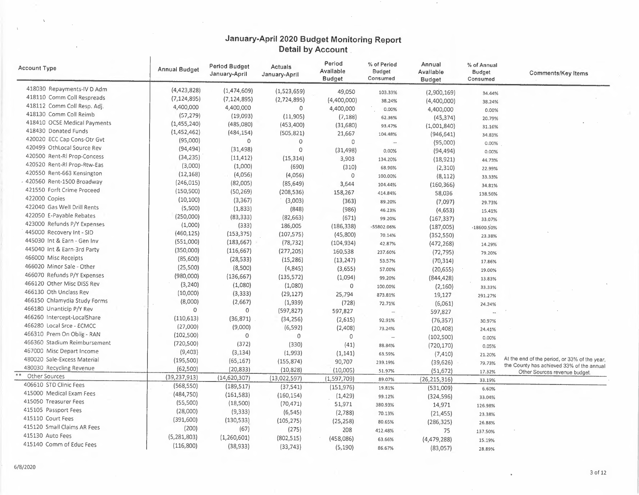$\sim$ 

| Account Type                 | <b>Annual Budget</b> | <b>Period Budget</b><br>January-April | Actuals<br>January-April | Period<br>Available<br><b>Budget</b> | % of Period<br>Budget<br>Consumed | Annual<br>Available<br><b>Budget</b> | % of Annual<br><b>Budget</b><br>Consumed | <b>Comments/Key Items</b>                     |
|------------------------------|----------------------|---------------------------------------|--------------------------|--------------------------------------|-----------------------------------|--------------------------------------|------------------------------------------|-----------------------------------------------|
| 418030 Repayments-IV D Adm   | (4,423,828)          | (1,474,609)                           | (1,523,659)              | 49,050                               | 103.33%                           | (2,900,169)                          | 34.44%                                   |                                               |
| 418110 Comm Coll Respreads   | (7, 124, 895)        | (7, 124, 895)                         | (2,724,895)              | (4,400,000)                          | 38.24%                            | (4,400,000)                          | 38.24%                                   |                                               |
| 418112 Comm Coll Resp. Adj.  | 4,400,000            | 4,400,000                             | $\circ$                  | 4,400,000                            | 0.00%                             | 4,400,000                            | 0.00%                                    |                                               |
| 418130 Comm Coll Reimb       | (57, 279)            | (19,093)                              | (11,905)                 | (7, 188)                             | 62.36%                            | (45, 374)                            | 20.79%                                   |                                               |
| 418410 OCSE Medical Payments | (1, 455, 240)        | (485,080)                             | (453, 400)               | (31,680)                             | 93.47%                            | (1,001,840)                          | 31.16%                                   |                                               |
| 418430 Donated Funds         | (1,452,462)          | (484, 154)                            | (505, 821)               | 21,667                               | 104.48%                           | (946, 641)                           | 34.83%                                   |                                               |
| 420020 ECC Cap Cons-Otr Gvt  | (95,000)             | 0                                     | $\circ$                  | $\circ$                              | $\ddotsc$                         | (95,000)                             | 0.00%                                    |                                               |
| 420499 OthLocal Source Rev   | (94, 494)            | (31, 498)                             | $\Omega$                 | (31, 498)                            | 0.00%                             | (94, 494)                            | 0.00%                                    |                                               |
| 420500 Rent-Ri Prop-Concess  | (34, 235)            | (11, 412)                             | (15, 314)                | 3,903                                | 134.20%                           | (18, 921)                            | 44.73%                                   |                                               |
| 420520 Rent-RI Prop-Rtw-Eas  | (3,000)              | (1,000)                               | (690)                    | (310)                                | 68.96%                            | (2,310)                              | 22.99%                                   |                                               |
| 420550 Rent-663 Kensington   | (12, 168)            | (4,056)                               | (4,056)                  | $\Omega$                             | 100.00%                           | (8, 112)                             | 33.33%                                   |                                               |
| 420560 Rent-1500 Broadway    | (246, 015)           | (82,005)                              | (85, 649)                | 3,644                                | 104.44%                           | (160, 366)                           | 34.81%                                   |                                               |
| 421550 Forft Crime Proceed   | (150, 500)           | (50, 269)                             | (208, 536)               | 158,267                              | 414.84%                           | 58,036                               | 138.56%                                  |                                               |
| 422000 Copies                | (10, 100)            | (3, 367)                              | (3,003)                  | (363)                                | 89.20%                            | (7,097)                              |                                          |                                               |
| 422040 Gas Well Drill Rents  | (5,500)              | (1,833)                               | (848)                    | (986)                                | 46.23%                            | (4,653)                              | 29.73%                                   |                                               |
| 422050 E-Payable Rebates     | (250,000)            | (83, 333)                             | (82, 663)                | (671)                                | 99.20%                            | (167, 337)                           | 15.41%                                   |                                               |
| 423000 Refunds P/Y Expenses  | (1,000)              | (333)                                 | 186,005                  | (186, 338)                           | -55802.06%                        | (187,005)                            | 33.07%                                   |                                               |
| 445000 Recovery Int - SID    | (460, 125)           | (153, 375)                            | (107, 575)               | (45,800)                             | 70.14%                            |                                      | $-18600.50%$                             |                                               |
| 445030 Int & Earn - Gen Inv  | (551,000)            | (183, 667)                            | (78, 732)                | (104, 934)                           | 42.87%                            | (352, 550)                           | 23.38%                                   |                                               |
| 445040 Int & Earn-3rd Party  | (350,000)            | (116, 667)                            | (277, 205)               | 160,538                              |                                   | (472, 268)                           | 14.29%                                   |                                               |
| 466000 Misc Receipts         | (85,600)             | (28, 533)                             | (15, 286)                |                                      | 237.60%                           | (72, 795)                            | 79.20%                                   |                                               |
| 466020 Minor Sale - Other    | (25,500)             | (8,500)                               | (4, 845)                 | (13, 247)                            | 53.57%                            | (70, 314)                            | 17.86%                                   |                                               |
| 466070 Refunds P/Y Expenses  | (980,000)            |                                       |                          | (3,655)                              | 57.00%                            | (20, 655)                            | 19.00%                                   |                                               |
| 466120 Other Misc DISS Rev   | (3, 240)             | (136, 667)                            | (135, 572)               | (1,094)                              | 99.20%                            | (844, 428)                           | 13.83%                                   |                                               |
| 466130 Oth Unclass Rev       |                      | (1,080)                               | (1,080)                  | $\circ$                              | 100.00%                           | (2,160)                              | 33.33%                                   |                                               |
| 466150 Chlamydia Study Forms | (10,000)<br>(8,000)  | (3, 333)                              | (29, 127)                | 25,794                               | 873.81%                           | 19,127                               | 291.27%                                  |                                               |
| 466180 Unanticip P/Y Rev     | 0                    | (2,667)                               | (1,939)                  | (728)                                | 72.71%                            | (6,061)                              | 24.24%                                   |                                               |
| 466260 Intercept-LocalShare  |                      | $\circ$                               | (597, 827)               | 597,827                              | $\sim$                            | 597,827                              |                                          |                                               |
| 466280 Local Srce - ECMCC    | (110,613)            | (36, 871)                             | (34, 256)                | (2,615)                              | 92.91%                            | (76, 357)                            | 30.97%                                   |                                               |
| 466310 Prem On Oblig - RAN   | (27,000)             | (9,000)                               | (6, 592)                 | (2,408)                              | 73.24%                            | (20, 408)                            | 24.41%                                   |                                               |
| 466360 Stadium Reimbursement | (102, 500)           | 0                                     | $\mathbb O$              | $\circ$                              | $\overline{\phantom{a}}$          | (102, 500)                           | 0.00%                                    |                                               |
| 467000 Misc Depart Income    | (720, 500)           | (372)                                 | (330)                    | (41)                                 | 88.84%                            | (720, 170)                           | 0.05%                                    |                                               |
| 480020 Sale-Excess Material  | (9,403)              | (3, 134)                              | (1,993)                  | (1, 141)                             | 63.59%                            | (7, 410)                             | 21.20%                                   | At the end of the period, or 33% of the year, |
| 480030 Recycling Revenue     | (195,500)            | (65, 167)                             | (155, 874)               | 90,707                               | 239.19%                           | (39, 626)                            | 79.73%                                   | the County has achieved 33% of the annual     |
| Other Sources                | (62,500)             | (20, 833)                             | (10, 828)                | (10,005)                             | 51.97%                            | (51, 672)                            | 17.32%                                   | Other Sources revenue budget.                 |
| 406610 STD Clinic Fees       | (39, 237, 913)       | (14, 620, 307)                        | (13,022,597)             | (1, 597, 709)                        | 89.07%                            | (26, 215, 316)                       | 33.19%                                   |                                               |
| 415000 Medical Exam Fees     | (568, 550)           | (189, 517)                            | (37, 541)                | (151, 976)                           | 19.81%                            | (531,009)                            | 6.60%                                    |                                               |
| 415050 Treasurer Fees        | (484, 750)           | (161, 583)                            | (160, 154)               | (1, 429)                             | 99.12%                            | (324, 596)                           | 33.04%                                   |                                               |
|                              | (55,500)             | (18,500)                              | (70, 471)                | 51,971                               | 380.93%                           | 14,971                               | 126.98%                                  |                                               |
| 415105 Passport Fees         | (28,000)             | (9, 333)                              | (6, 545)                 | (2,788)                              | 70.13%                            | (21, 455)                            | 23.38%                                   |                                               |
| 415110 Court Fees            | (391, 600)           | (130, 533)                            | (105, 275)               | (25, 258)                            | 80.65%                            | (286, 325)                           | 26.88%                                   |                                               |
| 415120 Small Claims AR Fees  | (200)                | (67)                                  | (275)                    | 208                                  | 412.48%                           | 75                                   | 137.50%                                  |                                               |
| 415130 Auto Fees             | (5, 281, 803)        | (1,260,601)                           | (802, 515)               | (458,086)                            | 63.66%                            | (4, 479, 288)                        | 15.19%                                   |                                               |
| 415140 Comm of Educ Fees     | (116,800)            | (38, 933)                             | (33, 743)                | (5, 190)                             | 86.67%                            | (83,057)                             | 28.89%                                   |                                               |

 $\Delta$ 

 $\alpha$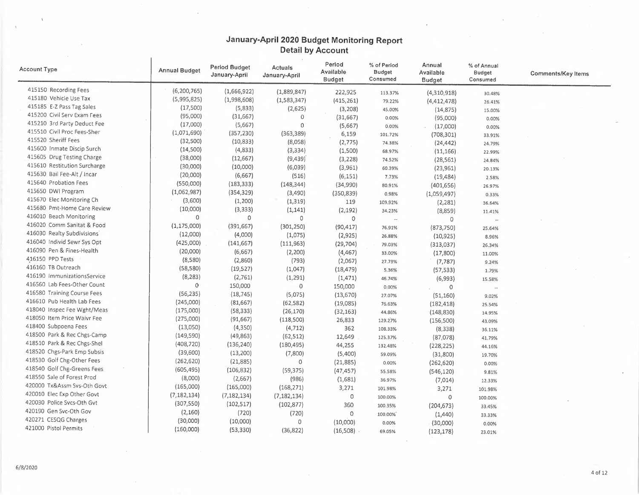$\mathcal{L}$ 

 $\alpha$ 

| <b>Account Type</b>                                      | <b>Annual Budget</b> | <b>Period Budget</b><br>January-April | Actuals<br>January-April | Period<br>Available<br><b>Budget</b> | % of Period<br><b>Budget</b><br>Consumed | Annual<br>Available<br><b>Budget</b> | % of Annual<br>Budget<br>Consumed | <b>Comments/Key Items</b> |
|----------------------------------------------------------|----------------------|---------------------------------------|--------------------------|--------------------------------------|------------------------------------------|--------------------------------------|-----------------------------------|---------------------------|
| 415150 Recording Fees                                    | (6, 200, 765)        | (1,666,922)                           | (1,889,847)              | 222,925                              | 113.37%                                  | (4,310,918)                          | 30.48%                            |                           |
| 415180 Vehicle Use Tax                                   | (5,995,825)          | (1,998,608)                           | (1,583,347)              | (415, 261)                           | 79.22%                                   | (4,412,478)                          | 26.41%                            |                           |
| 415185 E-Z Pass Tag Sales                                | (17,500)             | (5,833)                               | (2,625)                  | (3,208)                              | 45.00%                                   | (14, 875)                            | 15.00%                            |                           |
| 415200 Civil Serv Exam Fees                              | (95,000)             | (31, 667)                             | $\circ$                  | (31,667)                             | 0.00%                                    | (95,000)                             | 0.00%                             |                           |
| 415210 3rd Party Deduct Fee                              | (17,000)             | (5,667)                               | $\mathbf 0$              | (5,667)                              | 0.00%                                    | (17,000)                             | 0.00%                             |                           |
| 415510 Civil Proc Fees-Sher                              | (1,071,690)          | (357, 230)                            | (363, 389)               | 6,159                                | 101.72%                                  | (708, 301)                           | 33.91%                            |                           |
| 415520 Sheriff Fees                                      | (32,500)             | (10, 833)                             | (8,058)                  | (2,775)                              | 74.38%                                   | (24, 442)                            | 24.79%                            |                           |
| 415600 Inmate Discip Surch                               | (14,500)             | (4,833)                               | (3, 334)                 | (1,500)                              | 68.97%                                   | (11, 166)                            | 22.99%                            |                           |
| 415605 Drug Testing Charge                               | (38,000)             | (12, 667)                             | (9,439)                  | (3, 228)                             | 74.52%                                   | (28, 561)                            | 24.84%                            |                           |
| 415610 Restitution Surcharge                             | (30,000)             | (10,000)                              | (6,039)                  | (3,961)                              | 60.39%                                   | (23,961)                             | 20.13%                            |                           |
| 415630 Bail Fee-Alt / Incar                              | (20,000)             | (6,667)                               | (516)                    | (6, 151)                             | 7.73%                                    | (19, 484)                            | 2.58%                             |                           |
| 415640 Probation Fees                                    | (550,000)            | (183, 333)                            | (148, 344)               | (34,990)                             | 80.91%                                   | (401, 656)                           | 26.97%                            |                           |
| 415650 DWI Program                                       | (1,062,987)          | (354, 329)                            | (3,490)                  | (350, 839)                           | 0.98%                                    | (1,059,497)                          | 0.33%                             |                           |
| 415670 Elec Monitoring Ch                                | (3,600)              | (1, 200)                              | (1, 319)                 | 119                                  | 109.92%                                  |                                      |                                   |                           |
| 415680 Pmt-Home Care Review                              | (10,000)             | (3, 333)                              | (1, 141)                 | (2, 192)                             | 34.23%                                   | (2, 281)<br>(8,859)                  | 36.64%                            |                           |
| 416010 Beach Monitoring                                  | $\circ$              | $\circ$                               | 0                        | 0                                    | $\ldots$                                 | $\circ$                              | 11.41%<br>$\sim$                  |                           |
| 416020 Comm Sanitat & Food                               | (1, 175, 000)        | (391, 667)                            | (301, 250)               | (90, 417)                            | 76.91%                                   | (873,750)                            |                                   |                           |
| 416030 Realty Subdivisions                               | (12,000)             | (4,000)                               | (1,075)                  | (2,925)                              | 26.88%                                   |                                      | 25.64%                            |                           |
| 416040 Individ Sewr Sys Opt                              | (425,000)            | (141, 667)                            | (111, 963)               | (29, 704)                            | 79.03%                                   | (10, 925)                            | 8.96%                             |                           |
| 416090 Pen & Fines-Health                                | (20,000)             | (6,667)                               | (2, 200)                 |                                      |                                          | (313,037)                            | 26.34%                            |                           |
| 416150 PPD Tests                                         | (8,580)              | (2,860)                               | (793)                    | (4, 467)                             | 33.00%                                   | (17,800)                             | 11.00%                            |                           |
| 416160 TB Outreach                                       | (58, 580)            | (19, 527)                             | (1,047)                  | (2,067)                              | 27.73%                                   | (7, 787)                             | 9.24%                             |                           |
| 416190 ImmunizationsService                              | (8, 283)             | (2,761)                               | (1, 291)                 | (18, 479)                            | 5.36%                                    | (57, 533)                            | 1.79%                             |                           |
| 416560 Lab Fees-Other Count                              | $\theta$             | 150,000                               | $\circ$                  | (1, 471)                             | 46.74%                                   | (6,993)                              | 15.58%                            |                           |
| 416580 Training Course Fees                              | (56, 235)            | (18, 745)                             | (5,075)                  | 150,000                              | 0.00%                                    | 0                                    |                                   |                           |
| 416610 Pub Health Lab Fees                               | (245,000)            | (81,667)                              |                          | (13,670)                             | 27.07%                                   | (51, 160)                            | 9.02%                             |                           |
| 418040 Inspec Fee Wght/Meas                              | (175,000)            | (58, 333)                             | (62, 582)                | (19,085)                             | 76.63%                                   | (182, 418)                           | 25.54%                            |                           |
| 418050 Item Price Waivr Fee                              | (275,000)            | (91, 667)                             | (26, 170)                | (32, 163)                            | 44.86%                                   | (148, 830)                           | 14.95%                            |                           |
| 418400 Subpoena Fees                                     | (13,050)             |                                       | (118, 500)               | 26,833                               | 129.27%                                  | (156, 500)                           | 43.09%                            |                           |
| 418500 Park & Rec Chgs-Camp                              | (149, 590)           | (4,350)                               | (4, 712)                 | 362                                  | 108.33%                                  | (8,338)                              | 36.11%                            |                           |
| 418510 Park & Rec Chgs-Shel                              | (408, 720)           | (49, 863)                             | (62, 512)                | 12,649                               | 125.37%                                  | (87,078)                             | 41.79%                            |                           |
| 418520 Chgs-Park Emp Subsis                              | (39,600)             | (136, 240)                            | (180, 495)               | 44,255                               | 132.48%                                  | (228, 225)                           | 44.16%                            |                           |
| 418530 Golf Chg-Other Fees                               |                      | (13,200)                              | (7,800)                  | (5,400)                              | 59.09%                                   | (31,800)                             | 19.70%                            |                           |
| 418540 Golf Chg-Greens Fees                              | (262, 620)           | (21, 885)                             | $\circ$                  | (21, 885)                            | 0.00%                                    | (262, 620)                           | 0.00%                             |                           |
| 418550 Sale of Forest Prod                               | (605, 495)           | (106, 832)                            | (59, 375)                | (47, 457)                            | 55.58%                                   | (546, 120)                           | 9.81%                             |                           |
| 420000 Tx&Assm Svs-Oth Govt                              | (8,000)              | (2,667)                               | (986)                    | (1,681)                              | 36.97%                                   | (7,014)                              | 12.33%                            |                           |
|                                                          | (165,000)            | (165,000)                             | (168, 271)               | 3,271                                | 101.98%                                  | 3,271                                | 101.98%                           |                           |
| 420010 Elec Exp Other Govt<br>420030 Police Svcs-Oth Gvt | (7, 182, 134)        | (7, 182, 134)                         | (7, 182, 134)            | $\circ$                              | 100.00%                                  | $\circ$                              | 100.00%                           |                           |
|                                                          | (307, 550)           | (102, 517)                            | (102, 877)               | 360                                  | 100.35%                                  | (204, 673)                           | 33.45%                            |                           |
| 420190 Gen Svc-Oth Gov                                   | (2,160)              | (720)                                 | (720)                    | $\circ$                              | 100.00%                                  | (1, 440)                             | 33.33%                            |                           |
| 420271 CESQG Charges                                     | (30,000)             | (10,000)                              | $\circ$                  | (10,000)                             | 0.00%                                    | (30,000)                             | 0.00%                             |                           |
| 421000 Pistol Permits                                    | (160,000)            | (53, 330)                             | (36, 822)                | (16, 508)                            | 69.05%                                   | (123, 178)                           | 23.01%                            |                           |

 $\sim$ 

 $\bar{\chi}$ 

 $\epsilon$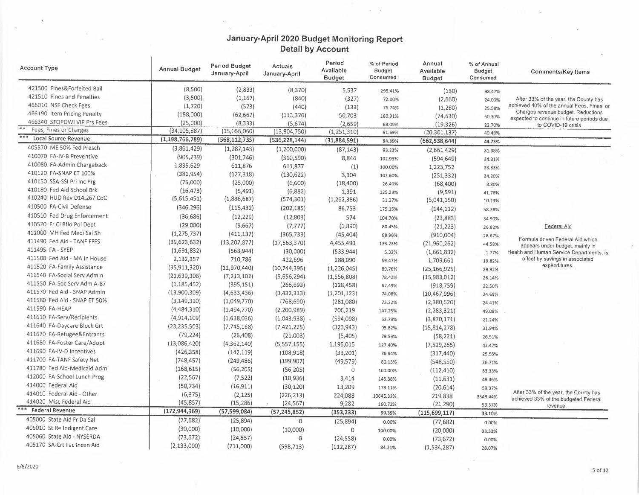$\mathcal{L}^{\text{max}}$ 

| 421500 Fines&Forfeited Bail<br>(8,500)<br>(2,833)<br>(8, 370)<br>5,537<br>(130)<br>295.41%<br>98.47%<br>421510 Fines and Penalties<br>(3,500)<br>(1, 167)<br>(840)<br>(327)<br>72.00%<br>(2,660)<br>After 33% of the year, the County has<br>24,00%<br>466010 NSF Check Fees<br>(1,720)<br>(573)<br>(440)<br>(133)<br>76.74%<br>(1,280)<br>25.58%<br>466190 Item Pricing Penalty<br>(188,000)<br>(62, 667)<br>(113, 370)<br>50,703<br>180.91%<br>(74, 630)<br>60.30%<br>expected to continue in future periods due<br>466340 STOPDWI VIP Prs Fees<br>(25,000)<br>(8, 333)<br>(5,674)<br>(2,659)<br>68.09%<br>(19, 326)<br>to COVID-19 crisis<br>22.70%<br>$\overline{*}$<br>Fees, Fines or Charges<br>(34, 105, 887)<br>(15,056,060)<br>(13,804,750)<br>(1,251,310)<br>(20, 301, 137)<br>91.69%<br>40.48%<br>***<br>Local Source Revenue<br>(1, 198, 766, 789)<br>(568, 112, 735)<br>(536, 228, 144)<br>(31,884,591)<br>94.39%<br>(662, 538, 644)<br>44.73%<br>405570 ME 50% Fed Presch<br>(3,861,429)<br>(1, 287, 143)<br>(1,200,000)<br>(87, 143)<br>93.23%<br>(2,661,429)<br>31.08%<br>410070 FA-IV-B Preventive<br>(905, 239)<br>(301,746)<br>(310, 590)<br>8,844<br>(594, 649)<br>102.93%<br>34.31%<br>410080 FA-Admin Chargeback<br>1,835,629<br>611,876<br>611,877<br>(1)<br>100.00%<br>1,223,752<br>33.33%<br>410120 FA-SNAP ET 100%<br>(381, 954)<br>(127, 318)<br>(130, 622)<br>3,304<br>102.60%<br>(251, 332)<br>34.20%<br>410150 SSA-SSI Pri Inc Prg<br>(75,000)<br>(25,000)<br>(6,600)<br>(18, 400)<br>26.40%<br>(68, 400)<br>8.80%<br>410180 Fed Aid School Brk<br>(16, 473)<br>(5, 491)<br>(6,882)<br>1,391<br>(9,591)<br>125.33%<br>41.78% | Account Type               | Annual Budget | <b>Period Budget</b><br>January-April | Actuals<br>January-April | Period<br>Available<br><b>Budget</b> | % of Period<br>Budget<br>Consumed | Annual<br>Available<br><b>Budget</b> | % of Annual<br><b>Budget</b><br>Consumed | <b>Comments/Key Items</b>                  |
|------------------------------------------------------------------------------------------------------------------------------------------------------------------------------------------------------------------------------------------------------------------------------------------------------------------------------------------------------------------------------------------------------------------------------------------------------------------------------------------------------------------------------------------------------------------------------------------------------------------------------------------------------------------------------------------------------------------------------------------------------------------------------------------------------------------------------------------------------------------------------------------------------------------------------------------------------------------------------------------------------------------------------------------------------------------------------------------------------------------------------------------------------------------------------------------------------------------------------------------------------------------------------------------------------------------------------------------------------------------------------------------------------------------------------------------------------------------------------------------------------------------------------------------------------------------------------------------------------------------------------------------------------------|----------------------------|---------------|---------------------------------------|--------------------------|--------------------------------------|-----------------------------------|--------------------------------------|------------------------------------------|--------------------------------------------|
|                                                                                                                                                                                                                                                                                                                                                                                                                                                                                                                                                                                                                                                                                                                                                                                                                                                                                                                                                                                                                                                                                                                                                                                                                                                                                                                                                                                                                                                                                                                                                                                                                                                            |                            |               |                                       |                          |                                      |                                   |                                      |                                          |                                            |
|                                                                                                                                                                                                                                                                                                                                                                                                                                                                                                                                                                                                                                                                                                                                                                                                                                                                                                                                                                                                                                                                                                                                                                                                                                                                                                                                                                                                                                                                                                                                                                                                                                                            |                            |               |                                       |                          |                                      |                                   |                                      |                                          |                                            |
|                                                                                                                                                                                                                                                                                                                                                                                                                                                                                                                                                                                                                                                                                                                                                                                                                                                                                                                                                                                                                                                                                                                                                                                                                                                                                                                                                                                                                                                                                                                                                                                                                                                            |                            |               |                                       |                          |                                      |                                   |                                      |                                          | achieved 40% of the annual Fees, Fines, or |
|                                                                                                                                                                                                                                                                                                                                                                                                                                                                                                                                                                                                                                                                                                                                                                                                                                                                                                                                                                                                                                                                                                                                                                                                                                                                                                                                                                                                                                                                                                                                                                                                                                                            |                            |               |                                       |                          |                                      |                                   |                                      |                                          | Charges revenue budget. Reductions         |
|                                                                                                                                                                                                                                                                                                                                                                                                                                                                                                                                                                                                                                                                                                                                                                                                                                                                                                                                                                                                                                                                                                                                                                                                                                                                                                                                                                                                                                                                                                                                                                                                                                                            |                            |               |                                       |                          |                                      |                                   |                                      |                                          |                                            |
|                                                                                                                                                                                                                                                                                                                                                                                                                                                                                                                                                                                                                                                                                                                                                                                                                                                                                                                                                                                                                                                                                                                                                                                                                                                                                                                                                                                                                                                                                                                                                                                                                                                            |                            |               |                                       |                          |                                      |                                   |                                      |                                          |                                            |
|                                                                                                                                                                                                                                                                                                                                                                                                                                                                                                                                                                                                                                                                                                                                                                                                                                                                                                                                                                                                                                                                                                                                                                                                                                                                                                                                                                                                                                                                                                                                                                                                                                                            |                            |               |                                       |                          |                                      |                                   |                                      |                                          |                                            |
|                                                                                                                                                                                                                                                                                                                                                                                                                                                                                                                                                                                                                                                                                                                                                                                                                                                                                                                                                                                                                                                                                                                                                                                                                                                                                                                                                                                                                                                                                                                                                                                                                                                            |                            |               |                                       |                          |                                      |                                   |                                      |                                          |                                            |
|                                                                                                                                                                                                                                                                                                                                                                                                                                                                                                                                                                                                                                                                                                                                                                                                                                                                                                                                                                                                                                                                                                                                                                                                                                                                                                                                                                                                                                                                                                                                                                                                                                                            |                            |               |                                       |                          |                                      |                                   |                                      |                                          |                                            |
|                                                                                                                                                                                                                                                                                                                                                                                                                                                                                                                                                                                                                                                                                                                                                                                                                                                                                                                                                                                                                                                                                                                                                                                                                                                                                                                                                                                                                                                                                                                                                                                                                                                            |                            |               |                                       |                          |                                      |                                   |                                      |                                          |                                            |
|                                                                                                                                                                                                                                                                                                                                                                                                                                                                                                                                                                                                                                                                                                                                                                                                                                                                                                                                                                                                                                                                                                                                                                                                                                                                                                                                                                                                                                                                                                                                                                                                                                                            |                            |               |                                       |                          |                                      |                                   |                                      |                                          |                                            |
|                                                                                                                                                                                                                                                                                                                                                                                                                                                                                                                                                                                                                                                                                                                                                                                                                                                                                                                                                                                                                                                                                                                                                                                                                                                                                                                                                                                                                                                                                                                                                                                                                                                            |                            |               |                                       |                          |                                      |                                   |                                      |                                          |                                            |
|                                                                                                                                                                                                                                                                                                                                                                                                                                                                                                                                                                                                                                                                                                                                                                                                                                                                                                                                                                                                                                                                                                                                                                                                                                                                                                                                                                                                                                                                                                                                                                                                                                                            |                            |               |                                       |                          |                                      |                                   |                                      |                                          |                                            |
| 31.27%<br>(5,041,150)<br>10.23%                                                                                                                                                                                                                                                                                                                                                                                                                                                                                                                                                                                                                                                                                                                                                                                                                                                                                                                                                                                                                                                                                                                                                                                                                                                                                                                                                                                                                                                                                                                                                                                                                            | 410240 HUD Rev D14.267 CoC | (5,615,451)   | (1,836,687)                           | (574, 301)               | (1, 262, 386)                        |                                   |                                      |                                          |                                            |
| 410500 FA-Civil Defense<br>(346, 296)<br>(115, 432)<br>(202, 185)<br>86,753<br>175.15%<br>(144, 112)<br>58.38%                                                                                                                                                                                                                                                                                                                                                                                                                                                                                                                                                                                                                                                                                                                                                                                                                                                                                                                                                                                                                                                                                                                                                                                                                                                                                                                                                                                                                                                                                                                                             |                            |               |                                       |                          |                                      |                                   |                                      |                                          |                                            |
| 410510 Fed Drug Enforcement<br>(36, 686)<br>(12, 229)<br>(12,803)<br>574<br>104.70%<br>(23,883)<br>34.90%                                                                                                                                                                                                                                                                                                                                                                                                                                                                                                                                                                                                                                                                                                                                                                                                                                                                                                                                                                                                                                                                                                                                                                                                                                                                                                                                                                                                                                                                                                                                                  |                            |               |                                       |                          |                                      |                                   |                                      |                                          |                                            |
| 410520 Fr Ci Bflo Pol Dept<br>(29,000)<br>(9,667)<br>(7, 777)<br>(1,890)<br><b>Federal Aid</b><br>80.45%<br>(21, 223)<br>26.82%                                                                                                                                                                                                                                                                                                                                                                                                                                                                                                                                                                                                                                                                                                                                                                                                                                                                                                                                                                                                                                                                                                                                                                                                                                                                                                                                                                                                                                                                                                                            |                            |               |                                       |                          |                                      |                                   |                                      |                                          |                                            |
| 411000 MH Fed Medi Sal Sh<br>(1, 275, 737)<br>(411, 137)<br>(365, 733)<br>(45, 404)<br>(910,004)<br>88.96%<br>28.67%                                                                                                                                                                                                                                                                                                                                                                                                                                                                                                                                                                                                                                                                                                                                                                                                                                                                                                                                                                                                                                                                                                                                                                                                                                                                                                                                                                                                                                                                                                                                       |                            |               |                                       |                          |                                      |                                   |                                      |                                          |                                            |
| Formula driven Federal Aid which<br>411490 Fed Aid - TANF FFFS<br>(39, 623, 632)<br>(13, 207, 877)<br>(17,663,370)<br>4,455,493<br>(21,960,262)<br>133.73%<br>44.58%                                                                                                                                                                                                                                                                                                                                                                                                                                                                                                                                                                                                                                                                                                                                                                                                                                                                                                                                                                                                                                                                                                                                                                                                                                                                                                                                                                                                                                                                                       |                            |               |                                       |                          |                                      |                                   |                                      |                                          |                                            |
| appears under budget, mainly in<br>411495 FA - SYEP<br>(1,691,832)<br>(563, 944)<br>(30,000)<br>(533, 944)<br>(1,661,832)<br>5.32%<br>1.77%                                                                                                                                                                                                                                                                                                                                                                                                                                                                                                                                                                                                                                                                                                                                                                                                                                                                                                                                                                                                                                                                                                                                                                                                                                                                                                                                                                                                                                                                                                                |                            |               |                                       |                          |                                      |                                   |                                      |                                          | Health and Human Service Departments, is   |
| 411500 Fed Aid - MA In House<br>offset by savings in associated<br>2,132,357<br>710,786<br>422,696<br>288,090<br>59.47%<br>1,709,661<br>19.82%                                                                                                                                                                                                                                                                                                                                                                                                                                                                                                                                                                                                                                                                                                                                                                                                                                                                                                                                                                                                                                                                                                                                                                                                                                                                                                                                                                                                                                                                                                             |                            |               |                                       |                          |                                      |                                   |                                      |                                          |                                            |
| expenditures.<br>411520 FA-Family Assistance<br>(35, 911, 320)<br>(11,970,440)<br>(10, 744, 395)<br>(1,226,045)<br>(25, 166, 925)<br>89.76%<br>29.92%                                                                                                                                                                                                                                                                                                                                                                                                                                                                                                                                                                                                                                                                                                                                                                                                                                                                                                                                                                                                                                                                                                                                                                                                                                                                                                                                                                                                                                                                                                      |                            |               |                                       |                          |                                      |                                   |                                      |                                          |                                            |
| 411540 FA-Social Serv Admin<br>(21, 639, 306)<br>(7, 213, 102)<br>(5,656,294)<br>(1,556,808)<br>78.42%<br>(15,983,012)<br>26.14%                                                                                                                                                                                                                                                                                                                                                                                                                                                                                                                                                                                                                                                                                                                                                                                                                                                                                                                                                                                                                                                                                                                                                                                                                                                                                                                                                                                                                                                                                                                           |                            |               |                                       |                          |                                      |                                   |                                      |                                          |                                            |
| 411550 FA-Soc Serv Adm A-87<br>(1, 185, 452)<br>(395, 151)<br>(266, 693)<br>(128, 458)<br>67.49%<br>(918, 759)<br>22.50%                                                                                                                                                                                                                                                                                                                                                                                                                                                                                                                                                                                                                                                                                                                                                                                                                                                                                                                                                                                                                                                                                                                                                                                                                                                                                                                                                                                                                                                                                                                                   |                            |               |                                       |                          |                                      |                                   |                                      |                                          |                                            |
| 411570 Fed Aid - SNAP Admin<br>(13,900,309)<br>(4,633,436)<br>(3,432,313)<br>(1, 201, 123)<br>74.08%<br>(10, 467, 996)<br>24.69%                                                                                                                                                                                                                                                                                                                                                                                                                                                                                                                                                                                                                                                                                                                                                                                                                                                                                                                                                                                                                                                                                                                                                                                                                                                                                                                                                                                                                                                                                                                           |                            |               |                                       |                          |                                      |                                   |                                      |                                          |                                            |
| 411580 Fed Aid - SNAP ET 50%<br>(3, 149, 310)<br>(1,049,770)<br>(768, 690)<br>(281,080)<br>(2,380,620)<br>73.22%<br>24.41%                                                                                                                                                                                                                                                                                                                                                                                                                                                                                                                                                                                                                                                                                                                                                                                                                                                                                                                                                                                                                                                                                                                                                                                                                                                                                                                                                                                                                                                                                                                                 |                            |               |                                       |                          |                                      |                                   |                                      |                                          |                                            |
| 411590 FA-HEAP<br>(4,484,310)<br>(1,494,770)<br>(2,200,989)<br>706,219<br>147.25%<br>(2, 283, 321)<br>49.08%                                                                                                                                                                                                                                                                                                                                                                                                                                                                                                                                                                                                                                                                                                                                                                                                                                                                                                                                                                                                                                                                                                                                                                                                                                                                                                                                                                                                                                                                                                                                               |                            |               |                                       |                          |                                      |                                   |                                      |                                          |                                            |
| 411610 FA-Serv/Recipients<br>(4,914,109)<br>(1,638,036)<br>$(1,043,938)$ .<br>(594,098)<br>(3,870,171)<br>63.73%<br>21.24%                                                                                                                                                                                                                                                                                                                                                                                                                                                                                                                                                                                                                                                                                                                                                                                                                                                                                                                                                                                                                                                                                                                                                                                                                                                                                                                                                                                                                                                                                                                                 |                            |               |                                       |                          |                                      |                                   |                                      |                                          |                                            |
| 411640 FA-Daycare Block Grt<br>(23, 235, 503)<br>(7,745,168)<br>(7,421,225)<br>(323, 943)<br>95.82%<br>(15, 814, 278)<br>31.94%                                                                                                                                                                                                                                                                                                                                                                                                                                                                                                                                                                                                                                                                                                                                                                                                                                                                                                                                                                                                                                                                                                                                                                                                                                                                                                                                                                                                                                                                                                                            |                            |               |                                       |                          |                                      |                                   |                                      |                                          |                                            |
| 411670 FA-Refugee&Entrants<br>(79, 224)<br>(26, 408)<br>(21,003)<br>(5,405)<br>(58, 221)<br>79.53%                                                                                                                                                                                                                                                                                                                                                                                                                                                                                                                                                                                                                                                                                                                                                                                                                                                                                                                                                                                                                                                                                                                                                                                                                                                                                                                                                                                                                                                                                                                                                         |                            |               |                                       |                          |                                      |                                   |                                      |                                          |                                            |
| 26.51%<br>411680 FA-Foster Care/Adopt<br>(13,086,420)<br>(4,362,140)<br>(5,557,155)<br>1,195,015<br>127.40%<br>(7,529,265)                                                                                                                                                                                                                                                                                                                                                                                                                                                                                                                                                                                                                                                                                                                                                                                                                                                                                                                                                                                                                                                                                                                                                                                                                                                                                                                                                                                                                                                                                                                                 |                            |               |                                       |                          |                                      |                                   |                                      |                                          |                                            |
| 42.47%<br>411690 FA-IV-D Incentives<br>(426, 358)<br>(142, 119)<br>(108, 918)<br>(33, 201)<br>76.64%                                                                                                                                                                                                                                                                                                                                                                                                                                                                                                                                                                                                                                                                                                                                                                                                                                                                                                                                                                                                                                                                                                                                                                                                                                                                                                                                                                                                                                                                                                                                                       |                            |               |                                       |                          |                                      |                                   |                                      |                                          |                                            |
| (317, 440)<br>25.55%<br>411700 FA-TANF Safety Net<br>(748, 457)<br>(249, 486)<br>(199, 907)<br>(49, 579)<br>80.13%                                                                                                                                                                                                                                                                                                                                                                                                                                                                                                                                                                                                                                                                                                                                                                                                                                                                                                                                                                                                                                                                                                                                                                                                                                                                                                                                                                                                                                                                                                                                         |                            |               |                                       |                          |                                      |                                   |                                      |                                          |                                            |
| (548, 550)<br>26.71%<br>411780 Fed Aid-Medicaid Adm<br>(168, 615)<br>(56, 205)<br>(56, 205)<br>0<br>100.00%                                                                                                                                                                                                                                                                                                                                                                                                                                                                                                                                                                                                                                                                                                                                                                                                                                                                                                                                                                                                                                                                                                                                                                                                                                                                                                                                                                                                                                                                                                                                                |                            |               |                                       |                          |                                      |                                   |                                      |                                          |                                            |
| (112, 410)<br>33.33%<br>412000 FA-School Lunch Prog<br>(22, 567)<br>(7, 522)<br>(10, 936)<br>3,414                                                                                                                                                                                                                                                                                                                                                                                                                                                                                                                                                                                                                                                                                                                                                                                                                                                                                                                                                                                                                                                                                                                                                                                                                                                                                                                                                                                                                                                                                                                                                         |                            |               |                                       |                          |                                      |                                   |                                      |                                          |                                            |
| (11, 631)<br>145.38%<br>48.46%<br>414000 Federal Aid<br>(50, 734)<br>(16, 911)<br>(30, 120)<br>13,209                                                                                                                                                                                                                                                                                                                                                                                                                                                                                                                                                                                                                                                                                                                                                                                                                                                                                                                                                                                                                                                                                                                                                                                                                                                                                                                                                                                                                                                                                                                                                      |                            |               |                                       |                          |                                      |                                   |                                      |                                          |                                            |
| (20, 614)<br>178.11%<br>59.37%<br>414010 Federal Aid - Other<br>(6, 375)<br>(2, 125)                                                                                                                                                                                                                                                                                                                                                                                                                                                                                                                                                                                                                                                                                                                                                                                                                                                                                                                                                                                                                                                                                                                                                                                                                                                                                                                                                                                                                                                                                                                                                                       |                            |               |                                       |                          |                                      |                                   |                                      |                                          | After 33% of the year, the County has      |
| (226, 213)<br>224,088<br>10645.32%<br>219,838<br>3548.44%<br>414020 Misc Federal Aid<br>(45, 857)<br>(15, 286)<br>(24, 567)<br>9,282<br>(21, 290)<br>160.72%                                                                                                                                                                                                                                                                                                                                                                                                                                                                                                                                                                                                                                                                                                                                                                                                                                                                                                                                                                                                                                                                                                                                                                                                                                                                                                                                                                                                                                                                                               |                            |               |                                       |                          |                                      |                                   |                                      |                                          | achieved 33% of the budgeted Federal       |
| 53.57%<br>revenue<br>*** Federal Revenue<br>(172, 944, 969)<br>(57, 599, 084)<br>(57, 245, 852)<br>(353, 233)<br>(115, 699, 117)<br>99.39%                                                                                                                                                                                                                                                                                                                                                                                                                                                                                                                                                                                                                                                                                                                                                                                                                                                                                                                                                                                                                                                                                                                                                                                                                                                                                                                                                                                                                                                                                                                 |                            |               |                                       |                          |                                      |                                   |                                      |                                          |                                            |
| 33.10%<br>405000 State Aid Fr Da Sal<br>(77, 682)<br>(25,894)<br>$\circ$<br>(25,894)<br>0.00%<br>(77, 682)<br>0.00%                                                                                                                                                                                                                                                                                                                                                                                                                                                                                                                                                                                                                                                                                                                                                                                                                                                                                                                                                                                                                                                                                                                                                                                                                                                                                                                                                                                                                                                                                                                                        |                            |               |                                       |                          |                                      |                                   |                                      |                                          |                                            |
| 405010 St Re Indigent Care<br>(30,000)<br>(10,000)<br>(10,000)<br>$\mathbf{0}$<br>(20,000)<br>100.00%                                                                                                                                                                                                                                                                                                                                                                                                                                                                                                                                                                                                                                                                                                                                                                                                                                                                                                                                                                                                                                                                                                                                                                                                                                                                                                                                                                                                                                                                                                                                                      |                            |               |                                       |                          |                                      |                                   |                                      |                                          |                                            |
| 33.33%<br>405060 State Aid - NYSERDA<br>(73, 672)<br>(24, 557)<br>$\circ$<br>(24, 558)<br>0.00%<br>(73, 672)<br>0.00%                                                                                                                                                                                                                                                                                                                                                                                                                                                                                                                                                                                                                                                                                                                                                                                                                                                                                                                                                                                                                                                                                                                                                                                                                                                                                                                                                                                                                                                                                                                                      |                            |               |                                       |                          |                                      |                                   |                                      |                                          |                                            |
| 405170 SA-Crt Fac Incen Aid<br>(2, 133, 000)<br>(711,000)<br>(598, 713)<br>(112, 287)<br>84.21%<br>(1,534,287)<br>28.07%                                                                                                                                                                                                                                                                                                                                                                                                                                                                                                                                                                                                                                                                                                                                                                                                                                                                                                                                                                                                                                                                                                                                                                                                                                                                                                                                                                                                                                                                                                                                   |                            |               |                                       |                          |                                      |                                   |                                      |                                          |                                            |

 $\chi$ 

 $\overline{\phantom{a}}$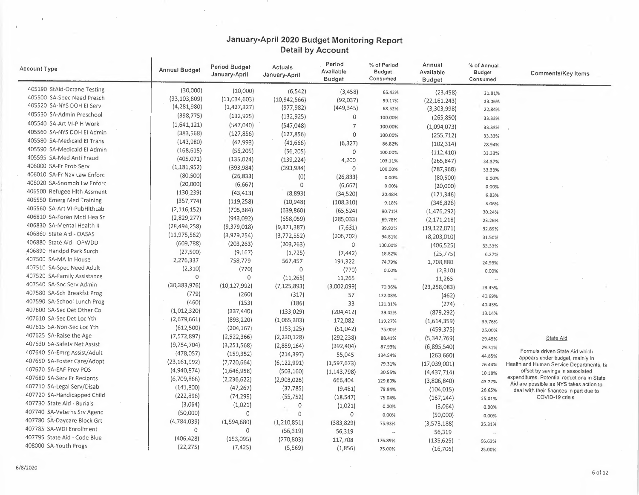$\sim$ 

| <b>Account Type</b>          | <b>Annual Budget</b> | <b>Period Budget</b><br>January-April | <b>Actuals</b><br>January-April | Period<br>Available<br><b>Budget</b> | % of Period<br>Budget<br>Consumed | Annual<br>Available<br><b>Budget</b> | % of Annual<br>Budget<br>Consumed | <b>Comments/Key Items</b>                                                              |
|------------------------------|----------------------|---------------------------------------|---------------------------------|--------------------------------------|-----------------------------------|--------------------------------------|-----------------------------------|----------------------------------------------------------------------------------------|
| 405190 StAid-Octane Testing  | (30,000)             | (10,000)                              | (6, 542)                        | (3, 458)                             | 65.42%                            | (23, 458)                            | 21.81%                            |                                                                                        |
| 405500 SA-Spec Need Presch   | (33, 103, 809)       | (11,034,603)                          | (10, 942, 566)                  | (92,037)                             | 99.17%                            | (22, 161, 243)                       | 33.06%                            |                                                                                        |
| 405520 SA-NYS DOH EI Serv    | (4, 281, 980)        | (1, 427, 327)                         | (977, 982)                      | (449, 345)                           | 68.52%                            | (3,303,998)                          | 22.84%                            |                                                                                        |
| 105530 SA-Admin Preschool    | (398, 775)           | (132, 925)                            | (132, 925)                      | $\theta$                             | 100.00%                           | (265, 850)                           | 33.33%                            |                                                                                        |
| 405540 SA-Art VI-P H Work    | (1,641,121)          | (547,040)                             | (547,048)                       | $\overline{7}$                       | 100.00%                           | (1,094,073)                          | 33.33%                            |                                                                                        |
| 405560 SA-NYS DOH EI Admin   | (383, 568)           | (127, 856)                            | (127, 856)                      | $\circ$                              | 100.00%                           | (255, 712)                           | 33.33%                            |                                                                                        |
| 405580 SA-Medicaid El Trans  | (143,980)            | (47, 993)                             | (41, 666)                       | (6, 327)                             | 86.82%                            | (102, 314)                           | 28.94%                            |                                                                                        |
| 405590 SA-Medicaid El Admin  | (168, 615)           | (56, 205)                             | (56, 205)                       | 0                                    | 100.00%                           | (112, 410)                           | 33,33%                            |                                                                                        |
| 405595 SA-Med Anti Fraud     | (405, 071)           | (135, 024)                            | (139, 224)                      | 4,200                                | 103.11%                           | (265, 847)                           | 34.37%                            |                                                                                        |
| 406000 SA-Fr Prob Serv       | (1, 181, 952)        | (393, 984)                            | (393,984)                       | $\circ$                              | 100.00%                           | (787, 968)                           | 33.33%                            |                                                                                        |
| 406010 SA-Fr Nav Law Enforc  | (80, 500)            | (26, 833)                             | (0)                             | (26, 833)                            | 0.00%                             | (80, 500)                            | 0.00%                             |                                                                                        |
| 406020 SA-Snomob Lw Enforc   | (20,000)             | (6,667)                               | $\mathbf 0$                     | (6,667)                              | 0.00%                             | (20,000)                             | 0.00%                             |                                                                                        |
| 406500 Refugee Hlth Assment  | (130, 239)           | (43, 413)                             | (8,893)                         | (34, 520)                            | 20.48%                            | (121, 346)                           | 6.83%                             |                                                                                        |
| 406550 Emerg Med Training    | (357, 774)           | (119, 258)                            | (10, 948)                       | (108, 310)                           | 9.18%                             | (346, 826)                           | 3.06%                             |                                                                                        |
| 406560 SA-Art VI-PubHlthLab  | (2, 116, 152)        | (705, 384)                            | (639, 860)                      | (65, 524)                            | 90.71%                            | (1,476,292)                          | 30.24%                            |                                                                                        |
| 406810 SA-Foren Mntl Hea Sr  | (2,829,277)          | (943,092)                             | (658,059)                       | (285, 033)                           | 69.78%                            | (2, 171, 218)                        |                                   |                                                                                        |
| 406830 SA-Mental Health II   | (28, 494, 258)       | (9,379,018)                           | (9,371,387)                     | (7,631)                              | 99.92%                            | (19, 122, 871)                       | 23.26%                            |                                                                                        |
| 406860 State Aid - OASAS     | (11, 975, 562)       | (3,979,254)                           | (3,772,552)                     | (206, 702)                           |                                   |                                      | 32.89%                            |                                                                                        |
| 406880 State Aid - OPWDD     | (609, 788)           | (203, 263)                            | (203, 263)                      | 0                                    | 94.81%                            | (8, 203, 010)                        | 31.50%                            |                                                                                        |
| 406890 Handpd Park Surch     | (27,500)             | (9, 167)                              | (1,725)                         | (7, 442)                             | 100.00%                           | (406, 525)                           | 33.33%                            |                                                                                        |
| 407500 SA-MA In House        | 2,276,337            | 758,779                               | 567,457                         |                                      | 18.82%                            | (25, 775)                            | 6.27%                             |                                                                                        |
| 407510 SA-Spec Need Adult    | (2, 310)             | (770)                                 | $\circ$                         | 191,322                              | 74.79%                            | 1,708,880                            | 24.93%                            |                                                                                        |
| 407520 SA-Family Assistance  | $\circ$              | $\circ$                               | (11, 265)                       | (770)                                | 0.00%                             | (2,310)                              | 0.00%                             |                                                                                        |
| 407540 SA-Soc Serv Admin     | (30, 383, 976)       | (10, 127, 992)                        | (7, 125, 893)                   | 11,265                               | $\overline{\phantom{a}}$          | 11,265                               | $\ddotsc$                         |                                                                                        |
| 407580 SA-Sch Breakfst Prog  | (779)                | (260)                                 |                                 | (3,002,099)                          | 70.36%                            | (23, 258, 083)                       | 23.45%                            |                                                                                        |
| 407590 SA-School Lunch Prog  | (460)                |                                       | (317)                           | 57                                   | 122.08%                           | (462)                                | 40.69%                            |                                                                                        |
| 407600 SA-Sec Det Other Co   |                      | (153)                                 | (186)                           | 33                                   | 121.31%                           | (274)                                | 40.43%                            |                                                                                        |
| 407610 SA-Sec Det Loc Yth    | (1,012,320)          | (337, 440)                            | (133,029)                       | (204, 412)                           | 39.42%                            | (879, 292)                           | 13.14%                            |                                                                                        |
| 407615 SA-Non-Sec Loc Yth    | (2,679,661)          | (893, 220)                            | (1,065,303)                     | 172,082                              | 119.27%                           | (1,614,359)                          | 39.76%                            |                                                                                        |
| 407625 SA-Raise the Age      | (612,500)            | (204, 167)                            | (153, 125)                      | (51,042)                             | 75.00%                            | (459, 375)                           | 25.00%                            |                                                                                        |
| 407630 SA-Safety Net Assist  | (7,572,897)          | (2,522,366)                           | (2, 230, 128)                   | (292, 238)                           | 88.41%                            | (5,342,769)                          | 29.45%                            | State Aid                                                                              |
|                              | (9,754,704)          | (3, 251, 568)                         | (2,859,164)                     | (392, 404)                           | 87.93%                            | (6,895,540)                          | 29.31%                            | Formula driven State Aid which                                                         |
| 407640 SA-Emrg Assist/Adult  | (478,057)            | (159, 352)                            | (214, 397)                      | 55,045                               | 134.54%                           | (263, 660)                           | 44.85%                            | appears under budget, mainly in                                                        |
| 407650 SA-Foster Care/Adopt  | (23, 161, 992)       | (7, 720, 664)                         | (6, 122, 991)                   | (1, 597, 673)                        | 79.31%                            | (17,039,001)                         | 26.44%                            | Health and Human Service Departments, is                                               |
| 407670 SA-EAF Prev POS       | (4,940,874)          | (1,646,958)                           | (503, 160)                      | (1, 143, 798)                        | 30.55%                            | (4,437,714)                          | 10.18%                            | offset by savings in associated                                                        |
| 407680 SA-Serv Fr Recipnts   | (6,709,866)          | (2, 236, 622)                         | (2,903,026)                     | 666,404                              | 129.80%                           | (3,806,840)                          | 43.27%                            | expenditures. Potential reductions in State<br>Aid are possible as NYS takes action to |
| 407710 SA-Legal Serv/Disab   | (141,800)            | (47, 267)                             | (37, 785)                       | (9,481)                              | 79.94%                            | (104, 015)                           | 26.65%                            | deal with their finances in part due to                                                |
| 407720 SA-Handicapped Child  | (222, 896)           | (74, 299)                             | (55,752)                        | (18, 547)                            | 75.04%                            | (167, 144)                           | 25.01%                            | COVID-19 crisis.                                                                       |
| 407730 State Aid - Burials   | (3,064)              | (1,021)                               | 0                               | (1,021)                              | 0.00%                             | (3,064)                              | 0.00%                             |                                                                                        |
| 407740 SA-Veterns Srv Agenc  | (50,000)             | 0                                     | $\Omega$                        | $\circ$                              | 0.00%                             | (50,000)                             | 0.00%                             |                                                                                        |
| 407780 SA-Daycare Block Grt  | (4,784,039)          | (1,594,680)                           | (1, 210, 851)                   | (383, 829)                           | 75.93%                            | (3,573,188)                          | 25.31%                            |                                                                                        |
| 407785 SA-WDI Enrollment     | $\circ$              | 0                                     | (56, 319)                       | 56,319                               | $\mathcal{L}_{\mathcal{A}}$       | 56,319                               | $\ddotsc$                         |                                                                                        |
| 407795 State Aid - Code Blue | (406, 428)           | (153,095)                             | (270, 803)                      | 117,708                              | 176.89%                           | (135, 625)                           | 66.63%                            |                                                                                        |
| 408000 SA-Youth Progs        | (22, 275)            | (7, 425)                              | (5,569)                         | (1,856)                              | 75.00%                            | (16, 706)                            | 25.00%                            |                                                                                        |

 $\sim$ 

 $\mathbf{r}$ 

 $\mathcal{L}^{\pm}$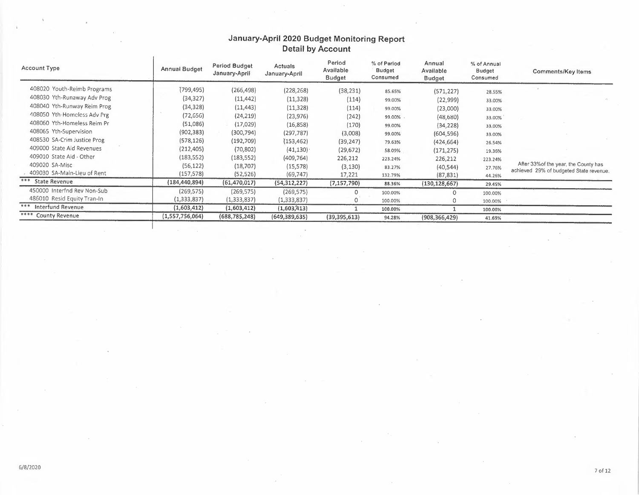| Account Type                | Annual Budget   | Period Budget<br>January-April | <b>Actuals</b><br>January-April | Period<br>Available<br><b>Budget</b> | % of Period<br>Budget<br>Consumed | Annual<br>Available<br><b>Budget</b> | % of Annual<br><b>Budget</b><br>Consumed | Comments/Key Items                      |
|-----------------------------|-----------------|--------------------------------|---------------------------------|--------------------------------------|-----------------------------------|--------------------------------------|------------------------------------------|-----------------------------------------|
| 408020 Youth-Reimb Programs | (799,495)       | (266, 498)                     | (228, 268)                      | (38, 231)                            | 85.65%                            | (571, 227)                           | 28.55%                                   |                                         |
| 408030 Yth-Runaway Adv Prog | (34, 327)       | (11, 442)                      | (11, 328)                       | (114)                                | 99.00%                            | (22, 999)                            | 33.00%                                   |                                         |
| 408040 Yth-Runway Reim Prog | (34, 328)       | (11, 443)                      | (11, 328)                       | (114)                                | 99.00%                            | (23,000)                             | 33.00%                                   |                                         |
| 408050 Yth-Homeless Adv Prg | (72, 656)       | (24, 219)                      | (23, 976)                       | (242)                                | 99.00%.                           | (48,680)                             | 33.00%                                   |                                         |
| 408060 Yth-Homeless Reim Pr | (51,086)        | (17, 029)                      | (16, 858)                       | (170)                                | 99.00%                            | (34, 228)                            | 33.00%                                   |                                         |
| 408065 Yth-Supervision      | (902, 383)      | (300, 794)                     | (297, 787)                      | (3,008)                              | 99.00%                            | (604, 596)                           | 33.00%                                   |                                         |
| 408530 SA-Crim Justice Prog | (578, 126)      | (192, 709)                     | (153, 462)                      | (39, 247)                            | 79.63%                            | (424, 664)                           | 26.54%                                   |                                         |
| 409000 State Aid Revenues   | (212, 405)      | (70, 802)                      | (41, 130)                       | (29, 672)                            | 58.09%                            | (171, 275)                           | 19.36%                                   |                                         |
| 409010 State Aid - Other    | (183, 552)      | (183, 552)                     | (409, 764)                      | 226,212                              | 223.24%                           | 226,212                              | 223.24%                                  |                                         |
| 409020 SA-Misc              | (56, 122)       | (18,707)                       | (15, 578)                       | (3, 130)                             | 83.27%                            | (40, 544)                            | 27.76%                                   | After 33% of the year, the County has   |
| 409030 SA-Main-Lieu of Rent | (157,578)       | (52, 526)                      | (69, 747)                       | 17,221                               | 132.79%                           | (87, 831)                            | 44.26%                                   | achieved 29% of budgeted State revenue. |
| *** State Revenue           | (184,440,894)   | (61, 470, 017)                 | (54, 312, 227)                  | (7, 157, 790)                        | 88.36%                            | (130, 128, 667)                      | 29.45%                                   |                                         |
| 450000 Interfnd Rev Non-Sub | (269, 575)      | (269, 575)                     | (269, 575)                      | 0                                    | 100.00%                           |                                      | 100.00%                                  |                                         |
| 486010 Resid Equity Tran-In | (1,333,837)     | (1, 333, 837)                  | (1,333,837)                     |                                      | 100.00%                           |                                      | 100.00%                                  |                                         |
| *** Interfund Revenue       | (1,603,412)     | (1,603,412)                    | (1,603,413)                     |                                      | 100.00%                           |                                      | 100.00%                                  |                                         |
| **** County Revenue         | (1,557,756,064) | (688, 785, 248)                | (649, 389, 635)                 | (39, 395, 613)                       | 94.28%                            | (908, 366, 429)                      | 41.69%                                   |                                         |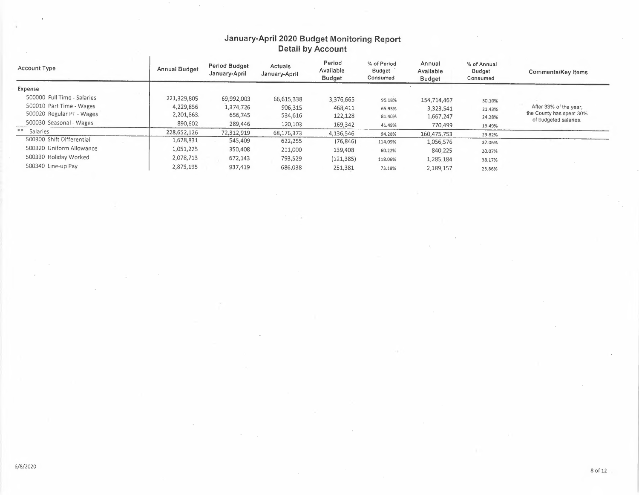$\bar{z}$ 

 $\bar{\mathcal{A}}$ 

| Account Type                | Annual Budget | Period Budget<br>January-April | Actuals<br>January-April | Period<br>Available<br><b>Budget</b> | % of Period<br>Budget<br>Consumed | Annual<br>Available<br><b>Budget</b> | % of Annual<br>Budget<br>Consumed | Comments/Key Items       |
|-----------------------------|---------------|--------------------------------|--------------------------|--------------------------------------|-----------------------------------|--------------------------------------|-----------------------------------|--------------------------|
| Expense                     |               |                                |                          |                                      |                                   |                                      |                                   |                          |
| 500000 Full Time - Salaries | 221,329,805   | 69,992,003                     | 66,615,338               | 3,376,665                            | 95.18%                            | 154,714,467                          | 30.10%                            |                          |
| 500010 Part Time - Wages    | 4,229,856     | 1,374,726                      | 906,315                  | 468,411                              | 65.93%                            | 3,323,541                            | 21.43%                            | After 33% of the year.   |
| 500020 Regular PT - Wages   | 2,201,863.    | 656,745                        | 534,616                  | 122,128                              | 81.40%                            | 1,667,247                            | 24.28%                            | the County has spent 30% |
| 500030 Seasonal - Wages     | 890,602       | 289,446                        | 120,103                  | 169,342                              | 41.49%                            | 770,499                              | 13.49%                            | of budgeted salaries.    |
| ** Salaries                 | 228,652,126   | 72,312,919                     | 68,176,373               | 4,136,546                            | 94.28%                            | 160,475,753                          | 29.82%                            |                          |
| 500300 Shift Differential   | 1,678,831     | 545,409                        | 622,255                  | (76, 846)                            | 114.09%                           | 1,056,576                            | 37.06%                            |                          |
| 500320 Uniform Allowance    | 1,051,225     | 350,408                        | 211,000                  | 139,408                              | 60.22%                            | 840,225                              | 20.07%                            |                          |
| 500330 Holiday Worked       | 2,078,713     | 672,143                        | 793.529                  | (121, 385)                           | 118.06%                           | 1,285,184                            | 38.17%                            |                          |
| 500340 Line-up Pay          | 2,875,195     | 937,419                        | 686,038                  | 251,381                              | 73.18%                            | 2,189,157                            | 23.86%                            |                          |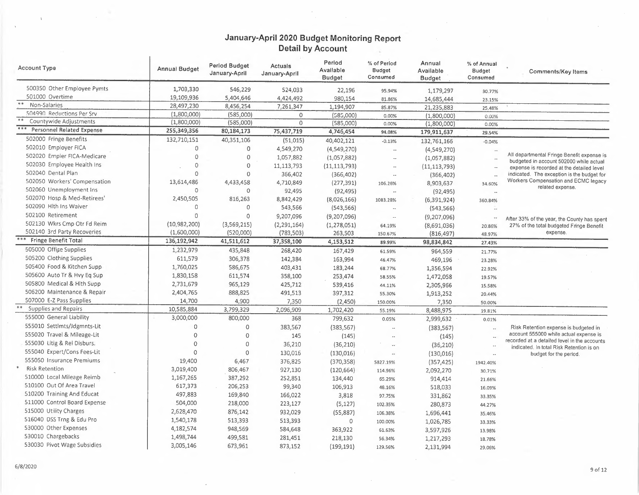$\sim$ 

| <b>Account Type</b>           | <b>Annual Budget</b> | <b>Period Budget</b><br>January-April | Actuals<br>January-April | Period<br>Avallable<br><b>Budget</b> | % of Period<br><b>Budget</b><br>Consumed | Annual<br>Available<br><b>Budget</b> | % of Annual<br><b>Budget</b><br>Consumed | <b>Comments/Key Items</b>                                                              |
|-------------------------------|----------------------|---------------------------------------|--------------------------|--------------------------------------|------------------------------------------|--------------------------------------|------------------------------------------|----------------------------------------------------------------------------------------|
| 500350 Other Employee Pymts   | 1,703,330            | 546,229                               | 524,033                  | 22,196                               | 95.94%                                   | 1,179,297                            | 30.77%                                   |                                                                                        |
| 501000 Overtime               | 19,109,936           | 5,404,646                             | 4,424,492                | 980,154                              | 81.86%                                   | 14,685,444                           | 23.15%                                   |                                                                                        |
| $\ast$ $\ast$<br>Non-Salaries | 28,497,230           | 8,456,254                             | 7,261,347                | 1,194,907                            | 85.87%                                   | 21,235,883                           | 25.48%                                   |                                                                                        |
| 504990 Reductions Per Srv     | (1,800,000)          | (585,000)                             | $\circ$                  | (585,000)                            | 0.00%                                    | (1,800,000)                          | 0.00%                                    |                                                                                        |
| Countywide Adjustments        | (1,800,000)          | (585,000)                             | $\mathbf{0}$             | (585,000)                            | 0.00%                                    | (1,800,000)                          | 0.00%                                    |                                                                                        |
| Personnel Related Expense     | 255,349,356          | 80,184,173                            | 75,437,719               | 4,746,454                            | 94.08%                                   | 179,911,637                          | 29.54%                                   |                                                                                        |
| 502000 Fringe Benefits        | 132,710,151          | 40,351,106                            | (51,015)                 | 40,402,121                           | $-0.13%$                                 | 132,761,166                          | $-0.04%$                                 |                                                                                        |
| 502010 Employer FICA          | $\Omega$             | $\circ$                               | 4,549,270                | (4,549,270)                          | $\sim$                                   | (4,549,270)                          |                                          |                                                                                        |
| 502020 Empler FICA-Medicare   | $\Omega$             | $\circ$                               | 1,057,882                | (1,057,882)                          | $\sim$                                   | (1,057,882)                          |                                          | All departmental Fringe Benefit expense is                                             |
| 502030 Employee Health Ins    | $\theta$             | $\mathbf{0}$                          | 11,113,793               | (11, 113, 793)                       | $\overline{\phantom{a}}$                 | (11, 113, 793)                       |                                          | budgeted in account 502000 while actual<br>expense is recorded at the detailed level   |
| 502040 Dental Plan            | $\Omega$             | $\Omega$                              | 366,402                  | (366, 402)                           | $\sim$                                   | (366, 402)                           | $\overline{\phantom{a}}$ .               | indicated. The exception is the budget for                                             |
| 502050 Workers' Compensation  | 13,614,486           | 4,433,458                             | 4,710,849                | (277, 391)                           | 106.26%                                  | 8,903,637                            | 34.60%                                   | Workers Compensation and ECMC legacy                                                   |
| 502060 Unemployment Ins       | $\Omega$             | $\circ$                               | 92,495                   | (92, 495)                            | $\overline{\phantom{a}}$                 | (92, 495)                            |                                          | related expense.                                                                       |
| 502070 Hosp & Med-Retirees'   | 2,450,505            | 816,263                               | 8,842,429                | (8,026,166)                          | 1083.28%                                 | (6, 391, 924)                        | 360.84%                                  |                                                                                        |
| 502090 Hlth Ins Waiver        | $\mathbf{0}$         | $\mathbf{0}$                          | 543,566                  | (543, 566)                           | $\overline{\phantom{a}}$                 | (543, 566)                           |                                          |                                                                                        |
| 502100 Retirement             | $\Omega$             | $\circ$                               | 9,207,096                | (9,207,096)                          | $\sim$                                   | (9,207,096)                          |                                          |                                                                                        |
| 502130 Wkrs Cmp Otr Fd Reim   | (10,982,200)         | (3,569,215)                           | (2, 291, 164)            | (1, 278, 051)                        |                                          |                                      | $\sim$ $\sim$                            | After 33% of the year, the County has spent                                            |
| 502140 3rd Party Recoveries   | (1,600,000)          | (520,000)                             | (783, 503)               | 263,503                              | 64.19%<br>150.67%                        | (8,691,036)<br>(816, 497)            | 20.86%<br>48.97%                         | 27% of the total budgeted Fringe Benefit<br>expense.                                   |
| *** Fringe Benefit Total      | 136,192,942          | 41,511,612                            | 37,358,100               | 4,153,512                            | 89.99%                                   | 98,834,842                           | 27.43%                                   |                                                                                        |
| 505000 Offise Supplies        | 1,232,979            | 435,848                               | 268,420                  | 167,429                              |                                          | 964,559                              |                                          |                                                                                        |
| 505200 Clothing Supplies      | 611,579              | 306,378                               | 142,384                  | 163,994                              | 61.59%                                   |                                      | 21.77%                                   |                                                                                        |
| 505400 Food & Kitchen Supp    | 1,760,025            | 586,675                               | 403,431                  |                                      | 46.47%                                   | 469,196                              | 23.28%                                   |                                                                                        |
| 505600 Auto Tr & Hvy Eq Sup   | 1,830,158            |                                       |                          | 183,244                              | 68.77%                                   | 1,356,594                            | 22.92%                                   |                                                                                        |
| 505800 Medical & Hlth Supp    |                      | 611,574                               | 358,100                  | 253,474                              | 58.55%                                   | 1,472,058                            | 19.57%                                   |                                                                                        |
| 506200 Maintenance & Repair   | 2,731,679            | 965,129                               | 425,712                  | 539,416                              | 44.11%                                   | 2,305,966                            | 15.58%                                   |                                                                                        |
| 507000 E-Z Pass Supplies      | 2,404,765            | 888,825                               | 491,513                  | 397,312                              | 55.30%                                   | 1,913,252                            | 20.44%                                   |                                                                                        |
| Supplies and Repairs          | 14,700               | 4,900                                 | 7,350                    | (2,450)                              | 150.00%                                  | 7,350                                | 50.00%                                   |                                                                                        |
| 555000 General Liability      | 10,585,884           | 3,799,329                             | 2,096,909                | 1,702,420                            | 55.19%                                   | 8,488,975                            | 19.81%                                   |                                                                                        |
|                               | 3,000,000            | 800,000                               | 368                      | 799,632                              | 0.05%                                    | 2,999,632                            | 0.01%                                    |                                                                                        |
| 555010 Settlmts/Jdgmnts-Lit   | $\circ$              | 0                                     | 383,567                  | (383, 567)                           | $\ddot{\phantom{a}}$                     | (383, 567)                           | $\ldots$                                 | Risk Retention expense is budgeted in                                                  |
| 555020 Travel & Mileage-Lit   | $\overline{0}$       | $\circ$                               | 145                      | (145)                                | $\ddot{\phantom{a}}$                     | (145)                                |                                          | account 555000 while actual expense is<br>recorded at a detailed level in the accounts |
| 555030 Litig & Rel Disburs.   | $\Omega$             | $\circ$                               | 36,210                   | (36, 210)                            | $\ddot{\phantom{a}}$                     | (36, 210)                            | $\sim$                                   | indicated. In total Risk Retention is on                                               |
| 555040 Expert/Cons Fees-Lit   | $\Omega$             | $\mathbf 0$                           | 130,016                  | (130, 016)                           | $\overline{\phantom{a}}$                 | (130, 016)                           | $\sim$                                   | budget for the period.                                                                 |
| 555050 Insurance Premiums     | 19,400               | 6,467                                 | 376,825                  | (370, 358)                           | 5827.19%                                 | (357, 425)                           | 1942.40%                                 |                                                                                        |
| <b>Risk Retention</b>         | 3,019,400            | 806,467                               | 927,130                  | (120, 664)                           | 114.96%                                  | 2,092,270                            | 30.71%                                   |                                                                                        |
| 510000 Local Mileage Reimb    | 1,167,265            | 387,292                               | 252,851                  | 134,440                              | 65.29%                                   | 914,414                              | 21.66%                                   |                                                                                        |
| 510100 Out Of Area Travel     | 617,373              | 206,253                               | 99,340                   | 106,913                              | 48.16%                                   | 518,033                              | 16.09%                                   |                                                                                        |
| 510200 Training And Educat    | 497,883              | 169,840                               | 166,022                  | 3,818                                | 97.75%                                   | 331,862                              | 33.35%                                   |                                                                                        |
| 511000 Control Board Expense  | 504,000              | 218,000                               | 223,127                  | (5, 127)                             | 102.35%                                  | 280,873                              | 44.27%                                   |                                                                                        |
| 515000 Utility Charges        | 2,628,470            | 876,142                               | 932,029                  | (55,887)                             | 106.38%                                  | 1,696,441                            | 35.46%                                   |                                                                                        |
| 516040 DSS Trng & Edu Pro     | 1,540,178            | 513,393                               | 513,393                  | $\circ$                              | 100.00%                                  | 1,026,785                            | 33.33%                                   |                                                                                        |
| 530000 Other Expenses         | 4,182,574            | 948,569                               | 584,648                  | 363,922                              | 61.63%                                   | 3,597,926                            | 13.98%                                   |                                                                                        |
| 530010 Chargebacks            | 1,498,744            | 499,581                               | 281,451                  | 218,130                              | 56.34%                                   | 1,217,293                            | 18.78%                                   |                                                                                        |
| 530030 Pivot Wage Subsidies   | 3,005,146            | 673,961                               | 873,152                  | (199, 191)                           | 129.56%                                  | 2,131,994                            | 29.06%                                   |                                                                                        |

 $\mathbf{r}$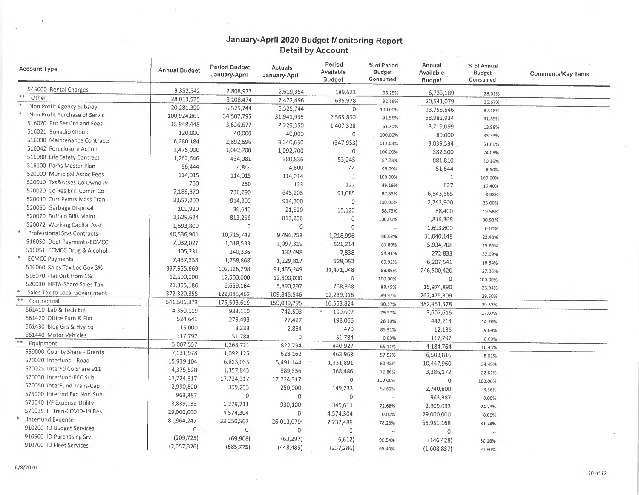| Account Type                        | <b>Annual Budget</b> | Period Budget<br>January-April | Actuals<br>January-April | Period<br>Available<br><b>Budget</b> | % of Period<br><b>Budget</b><br>Consumed | Annual<br>Available<br>Budget | % of Annual<br><b>Budget</b><br>Consumed | <b>Comments/Key Items</b> |
|-------------------------------------|----------------------|--------------------------------|--------------------------|--------------------------------------|------------------------------------------|-------------------------------|------------------------------------------|---------------------------|
| 545000 Rental Charges               | 9,352,542            | 2,808,977                      | 2,619,354                | 189,623                              | 93.25%                                   | 6,733,189                     | 28.01%                                   |                           |
| $\ast$ $\ast$<br>Other              | 28,013,575           | 8,108,474                      | 7,472,496                | 635,978                              | 92.16%                                   | 20,541,079                    | 26.67%                                   |                           |
| $\ast$<br>Non Profit Agency Subsidy | 20,281,390           | 6,525,744                      | 6,525,744                | $\circ$                              | 100.00%                                  | 13,755,646                    | 32.18%                                   |                           |
| Non Profit Purchase of Servic       | 100,924,869          | 34,507,795                     | 31,941,935               | 2,565,860                            | 92.56%                                   | 68,982,934                    | 31.65%                                   |                           |
| 516020 Pro Ser Cnt and Fees         | 15,948,448           | 3,636,677                      | 2,229,350                | 1,407,328                            | 61.30%                                   | 13,719,099                    | 13.98%                                   |                           |
| 516021 Bonadio Group                | 120,000              | 40,000                         | 40,000                   | $\circ$                              | 100.00%                                  | 80,000                        | 33.33%                                   |                           |
| 516030 Maintenance Contracts        | 6,280,184            | 2,892,696                      | 3,240,650                | (347, 953)                           | 112.03%                                  | 3,039,534                     | 51.60%                                   |                           |
| 516042 Foreclosure Action           | 1,475,000            | 1,092,700                      | 1,092,700                | $\circ$                              | 100.00%                                  | 382,300                       | 74.08%                                   |                           |
| 516080 Life Safety Contract         | 1,262,646            | 434,081                        | 380,836                  | 53,245                               | 87.73%                                   | 881,810                       | 30.16%                                   |                           |
| 516100 Parks Master Plan            | 56,444               | 4,844                          | 4,800                    | 44                                   | 99.09%                                   | 51,644                        | 8.50%                                    |                           |
| 520000 Municipal Assoc Fees         | 114,015              | 114,015                        | 114,014                  | $\mathbf{1}$                         | 100.00%                                  | 1                             | 100.00%                                  |                           |
| 520010 Txs&Asses-Co Ownd Pr         | 750                  | 250                            | 123                      | 127                                  | 49.19%                                   | 627                           | 16.40%                                   |                           |
| 520020 Co Res Enrl Comm Col         | 7,188,870            | 736,290                        | 645,205                  | 91,085                               | 87.63%                                   | 6,543,665                     | 8.98%                                    |                           |
| 520040 Curr Pymts Mass Tran         | 3,657,200            | 914,300                        | 914,300                  | $\circ$                              | 100.00%                                  | 2,742,900                     | 25.00%                                   |                           |
| 520050 Garbage Disposal             | 109,920              | 36,640                         | 21,520                   | 15,120                               | 58.73%                                   | 88,400                        |                                          |                           |
| 520070 Buffalo Bills Maint          | 2,629,624            | 813,256                        | 813,256                  | $\mathbf 0$                          | 100.00%                                  | 1,816,368                     | 19.58%                                   |                           |
| 520072 Working Capital Asst         | 1,693,800            | $\mathbf 0$                    | 0                        | $\mathbf{0}$                         | $\ddot{\phantom{0}}$                     | 1,693,800                     | 30.93%                                   |                           |
| Professional Srvs Contracts         | 40,536,901           | 10,715,749                     | 9,496,753                | 1,218,996                            | 88.62%                                   |                               | 0.00%                                    |                           |
| 516050 Dept Payments-ECMCC          | 7,032,027            | 1,618,533                      | 1,097,319                | 521,214                              | 67.80%                                   | 31,040,148                    | 23.43%                                   |                           |
| 516051 ECMCC Drug & Alcohol         | 405,331              | 140,336                        | 132,498                  | 7,838                                | 94.41%                                   | 5,934,708                     | 15.60%                                   |                           |
| <b>ECMCC Payments</b>               | 7,437,358            | 1,758,868                      | 1,229,817                | 529,052                              |                                          | 272,833                       | 32.69%                                   |                           |
| 516060 Sales Tax Loc Gov 3%         | 337,955,669          | 102,926,298                    | 91,455,249               |                                      | 69.92%                                   | 6,207,541                     | 16.54%                                   |                           |
| 516070 Flat Dist from 1%            | 12,500,000           | 12,500,000                     | 12,500,000               | 11,471,048<br>$\circ$                | 88.86%                                   | 246,500,420                   | 27.06%                                   |                           |
| 520030 NFTA-Share Sales Tax         | 21,865,186           | 6,659,164                      | 5,890,297                |                                      | 100.00%                                  | 0                             | 100.00%                                  |                           |
| Sales Tax to Local Government       | 372,320,855          | 122,085,462                    | 109,845,546              | 768,868<br>12,239,916                | 88.45%                                   | 15,974,890                    | 26.94%                                   |                           |
| **<br>Contractual                   | 541,501,373          | 175,593,619                    | 159,039,795              | 16,553,824                           | 89.97%                                   | 262,475,309                   | 29.50%                                   |                           |
| 561410 Lab & Tech Eqt               | 4,350,119            | 933,110                        | 742,503                  |                                      | 90.57%                                   | 382,461,578                   | 29.37%                                   |                           |
| 561420 Office Furn & Fixt           | 524,641              | 275,493                        | 77,427                   | 190,607                              | 79.57%                                   | 3,607,616                     | 17.07%                                   |                           |
| 561430 Bldg Grs & Hvy Eq            | 15,000               | 3,333                          | 2,864                    | 198,066                              | 28.10%                                   | 447,214                       | 14.76%                                   |                           |
| 561440 Motor Vehicles               | 117,797              | 51,784                         | $\circ$                  | 470                                  | 85.91%                                   | 12,136                        | 19.09%                                   |                           |
| Equipment                           | 5,007,557            | 1,263,721                      | 822,794                  | 51,784                               | 0.00%                                    | 117,797                       | 0.00%                                    |                           |
| 559000 County Share - Grants        | 7,131,978            | 1,092,125                      | 628,162                  | 440,927                              | 65.11%                                   | 4,184,764                     | 16.43%                                   |                           |
| 570020 Interfund - Road             | 15,939,104           | 6,823,035                      | 5,491,144                | 463,963                              | 57.52%                                   | 6,503,816                     | 8.81%                                    |                           |
| 570025 InterFd Co Share 911         | 4,375,528            | 1,357,843                      | 989,356                  | 1,331,891                            | 80.48%                                   | 10,447,960                    | 34.45%                                   |                           |
| 570030 Interfund-ECC Sub            | 17,724,317           | 17,724,317                     |                          | 368,486                              | 72.86%                                   | 3,386,172                     | 22.61%                                   |                           |
| 570050 InterFund Trans-Cap          | 2,990,800            | 399,233                        | 17,724,317               | $\circ$                              | 100.00%                                  | $\circ$                       | 100.00%                                  |                           |
| 575000 Interfnd Exp Non-Sub         | 963,387              | $\circ$                        | 250,000                  | 149,233                              | 62.62%                                   | 2,740,800                     | 8.36%                                    |                           |
| 575040 I/F Expense-Utility          | 3,839,133            |                                | $\circ$                  | $\circ$                              | $\sim$                                   | 963,387                       | 0.00%                                    |                           |
| 570035 IF Tran-COVID-19 Res         | 29,000,000           | 1,279,711                      | 930,100                  | 349,611                              | 72.68%                                   | 2,909,033                     | 24.23%                                   |                           |
| Interfund Expense                   | 81,964,247           | 4,574,304                      | 0                        | 4,574,304                            | 0.00%                                    | 29,000,000                    | 0.00%                                    |                           |
| 910200 ID Budget Services           | $\Omega$             | 33,250,567                     | 26,013,079-              | 7,237,488                            | 78.23%                                   | 55,951,168                    | 31.74%                                   |                           |
| 910600 ID Purchasing Srv            |                      | $\circ$                        | 0                        | $\Omega$                             | $\ddotsc$                                | $\overline{0}$                |                                          |                           |
| 910700 ID Fleet Services            | (209, 725)           | (69,908)                       | (63, 297)                | (6,612)                              | 90.54%                                   | (146, 428)                    | 30.18%                                   |                           |
|                                     | (2,057,326)          | (685, 775)                     | (448, 489)               | (237, 286)                           | 65.40%                                   | (1,608,837)                   | 21.80%                                   |                           |

 $\ddot{ }$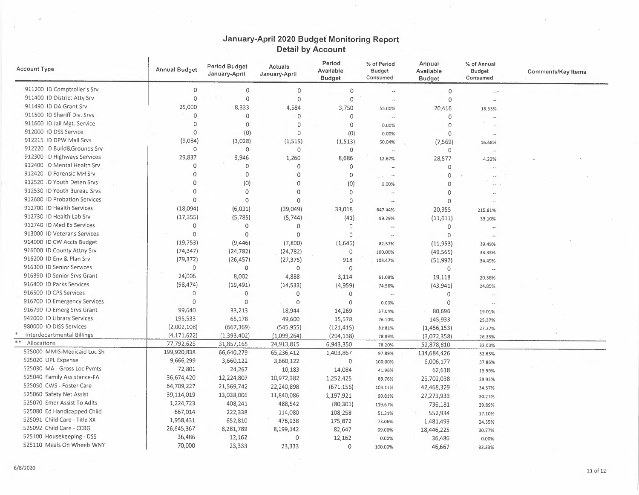| <b>Account Type</b>          | <b>Annual Budget</b> | <b>Period Budget</b><br>January-April | Actuals<br>January-April | Period<br>Available<br><b>Budget</b> | % of Period<br>Budget<br>Consumed | Annual<br>Available<br><b>Budget</b> | % of Annual<br><b>Budget</b><br>Consumed | <b>Comments/Key Items</b> |
|------------------------------|----------------------|---------------------------------------|--------------------------|--------------------------------------|-----------------------------------|--------------------------------------|------------------------------------------|---------------------------|
| 911200 ID Comptroller's Srv  | $\Omega$             | $\circ$                               | O                        | $\circ$                              |                                   | $\circ$                              | $\sim$ $\sim$                            |                           |
| 911400 ID District Atty Srv  | $\Omega$             | $\circ$                               | $\circ$                  | $\mathbf 0$                          | $\overline{\phantom{a}}$          | 0                                    | $\sim$                                   |                           |
| 911490 ID DA Grant Srv       | 25,000               | 8,333                                 | 4,584                    | 3,750                                | 55.00%                            | 20,416                               | 18.33%                                   |                           |
| 911500 ID Sheriff Div. Srvs  | $\Omega$             | $\circ$                               | $\circ$                  | $\circ$                              | $\overline{\phantom{a}}$          | 0                                    |                                          |                           |
| 911600 ID Jail Mgt. Service  | $\Omega$             | $\circ$                               | $\circ$                  | $\circ$                              | 0.00%                             | 0                                    |                                          |                           |
| 912000 ID DSS Service        | 0                    | (0)                                   | $\circ$                  | (0)                                  | 0.00%                             | $\circ$                              |                                          |                           |
| 912215 ID DPW Mail Srvs      | (9,084)              | (3,028)                               | (1, 515)                 | (1, 513)                             | 50.04%                            | (7, 569)                             | 16.68%                                   |                           |
| 912220 ID Build&Grounds Srv  | $\circ$              | 0                                     | 0                        | $\circ$                              |                                   | $\Omega$                             | $\ddotsc$                                |                           |
| 912300 ID Highways Services  | 29,837               | 9,946                                 | 1,260                    | 8,686                                | 12.67%                            | 28,577                               | 4.22%                                    |                           |
| 912400 ID Mental Health Srv  | 0                    | $\circ$                               | $\mathbf{0}$             | 0                                    |                                   | $\circ$                              | $\overline{\phantom{a}}$                 |                           |
| 912420 ID Forensic MH Srv    | 0                    | $\mathbf{0}$                          | 0                        | 0                                    | $\ddot{\phantom{1}}$              | $\overline{0}$                       | $\sim$                                   |                           |
| 912520 ID Youth Deten Srvs   | 0                    | (0)                                   | $\circ$                  | (0)                                  | 0.00%                             | $\Omega$                             |                                          |                           |
| 912530 ID Youth Bureau Srvs  | $\circ$              | 0                                     | $\Omega$                 | 0                                    | $\ddotsc$                         | $\Omega$                             |                                          |                           |
| 912600 ID Probation Services | $\Omega$             | $\mathbf 0$                           | $\circ$                  | 0                                    | $\overline{\phantom{a}}$          | $\Omega$                             |                                          |                           |
| 912700 ID Health Services    | (18,094)             | (6,031)                               | (39,049)                 | 33,018                               | 647.44%                           | 20,955                               | 215.81%                                  |                           |
| 912730 ID Health Lab Srv     | (17, 355)            | (5,785)                               | (5,744)                  | (41)                                 | 99.29%                            | (11,611)                             | 33.10%                                   |                           |
| 912740 ID Med Ex Services    | 0                    | $\circ$                               | $\Omega$                 | $\circ$                              | $\sim$                            | $\circ$                              |                                          |                           |
| 913000 ID Veterans Services  | $\Omega$             | $\Omega$                              | $\Omega$                 | 0                                    | $\sim$                            | $\Omega$                             | $\overline{\phantom{a}}$                 |                           |
| 914000 ID CW Accts Budget    | (19, 753)            | (9,446)                               | (7,800)                  | (1,646)                              | 82.57%                            | (11, 953)                            | 39.49%                                   |                           |
| 916000 ID County Attny Srv   | (74, 347)            | (24, 782)                             | (24, 782)                | $\circ$                              | 100.00%                           | (49, 565)                            | 33.33%                                   |                           |
| 916200 ID Env & Plan Srv     | (79, 372)            | (26, 457)                             | (27, 375)                | 918                                  | 103.47%                           | (51, 997)                            | 34.49%                                   |                           |
| 916300 ID Senior Services    | $\circ$              | 0                                     | $\mathbf{O}$             | $\circ$                              | $\overline{\phantom{a}}$          | $\circ$                              | ä.                                       |                           |
| 916390 ID Senior Srvs Grant  | 24,006               | 8,002                                 | 4,888                    | 3,114                                | 61.08%                            | 19,118                               | 20.36%                                   |                           |
| 916400 ID Parks Services     | (58, 474)            | (19, 491)                             | (14, 533)                | (4,959)                              | 74.56%                            | (43, 941)                            | 24.85%                                   |                           |
| 916500 ID CPS Services       | $\Omega$             | $\circ$                               | $\circ$                  | $\circ$                              | $\ddot{\phantom{a}}$              | $\circ$                              |                                          |                           |
| 916700 ID Emergency Services | $\Omega$             | 0                                     | $\circ$                  | $\theta$                             | 0.00%                             | $\circ$                              |                                          |                           |
| 916790 ID Emerg Srvs Grant   | 99,640               | 33,213                                | 18,944                   | 14,269                               | 57.04%                            | 80,696                               | 19.01%                                   |                           |
| 942000 ID Library Services   | 195,533              | 65,178                                | 49,600                   | 15,578                               | 76.10%                            | 145,933                              | 25.37%                                   |                           |
| 980000 ID DISS Services      | (2,002,108)          | (667, 369)                            | (545, 955)               | (121, 415)                           | 81:81%                            | (1,456,153)                          | 27.27%                                   |                           |
| Interdepartmental Billings   | (4, 171, 622)        | (1,393,402)                           | (1,099,264)              | (294, 138)                           | 78.89%                            | (3,072,358)                          | 26.35%                                   |                           |
| $\ast\ast$<br>Allocations    | 77,792,625           | 31,857,165                            | 24,913,815               | 6,943,350                            | 78.20%                            | 52,878,810                           | 32.03%                                   |                           |
| 525000 MMIS-Medicaid Loc Sh  | 199,920,838          | 66,640,279                            | 65,236,412               | 1,403,867                            | 97.89%                            | 134,684,426                          | 32.63%                                   |                           |
| 525020 UPL Expense           | 9,666,299            | 3,660,122                             | 3,660,122                | 0                                    | 100.00%                           | 6,006,177                            | 37.86%                                   |                           |
| 525030 MA - Gross Loc Pymts  | 72,801               | 24,267                                | 10,183                   | 14,084                               | 41.96%                            | 62,618                               | 13.99%                                   |                           |
| 525040 Family Assistance-FA  | 36,674,420           | 12,224,807                            | 10,972,382               | 1,252,425                            | 89.76%                            | 25,702,038                           | 29.92%                                   |                           |
| 525050 CWS - Foster Care     | 64,709,227           | 21,569,742                            | 22,240,898               | (671, 156)                           | 103.11%                           | 42,468,329                           | 34.37%                                   |                           |
| 525060 Safety Net Assist     | 39,114,019           | 13,038,006                            | 11,840,086               | 1,197,921                            | 90.81%                            | 27,273,933                           | 30.27%                                   |                           |
| 525070 Emer Assist To Adlts  | 1,224,723            | 408,241                               | 488,542                  | (80, 301)                            | 119.67%                           | 736,181                              | 39.89%                                   |                           |
| 525080 Ed Handicapped Child  | 667,014              | 222,338                               | 114,080                  | 108,258                              | 51.31%                            | 552,934                              | 17.10%                                   |                           |
| 525091 Child Care - Title XX | 1,958,431            | 652,810                               | 476,938                  | 175,872                              | 73.06%                            | 1,481,493                            | 24.35%                                   |                           |
| 525092 Child Care - CCBG     | 26,645,367           | 8,281,789                             | 8,199,142                | 82,647                               | 99.00%                            | 18,446,225                           | 30.77%                                   |                           |
| 525100 Housekeeping - DSS    | 36,486               | 12,162                                | $\circ$                  | 12,162                               | 0.00%                             | 36,486                               | 0.00%                                    |                           |
| 525110 Meals On Wheels WNY   | 70,000               | 23,333                                | 23,333                   | $\circ$                              | 100.00%                           | 46,667                               | 33.33%                                   |                           |

 $\lambda$